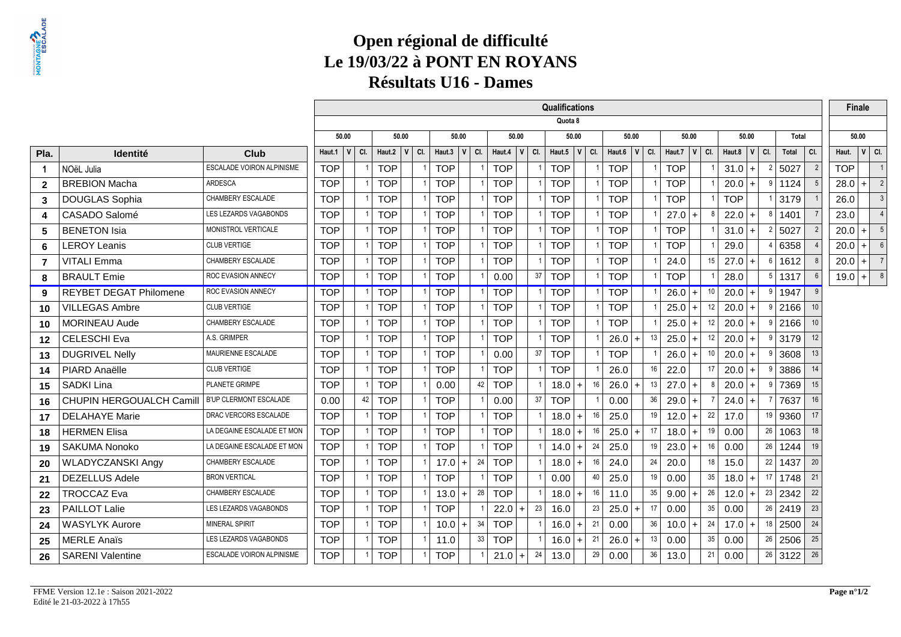### **Open régional de difficulté Le 19/03/22 à PONT EN ROYANSRésultats U16 - Dames**

|                |                               |                                  |            |       |     |              |                |              |       |     |            |                  | Qualifications |              |     |                  |                |    |            |         |     |                  |       |               |           |                |            | <b>Finale</b> |                |
|----------------|-------------------------------|----------------------------------|------------|-------|-----|--------------|----------------|--------------|-------|-----|------------|------------------|----------------|--------------|-----|------------------|----------------|----|------------|---------|-----|------------------|-------|---------------|-----------|----------------|------------|---------------|----------------|
|                |                               |                                  |            |       |     |              |                |              |       |     |            |                  | Quota 8        |              |     |                  |                |    |            |         |     |                  |       |               |           |                |            |               |                |
|                |                               |                                  |            | 50.00 |     | 50.00        |                |              | 50.00 |     |            | 50.00            |                | 50.00        |     | 50.00            |                |    |            | 50.00   |     |                  | 50.00 |               | Total     |                |            | 50.00         |                |
| Pla.           | Identité                      | <b>Club</b>                      | Haut.1     | V     | CI. | Haut.2<br> V | CI.            | Haut.3 $ V $ |       | CI. |            | Haut.4 $ V $ Cl. | Haut.5         | $\mathbf{v}$ | CI. | Haut.6 $ V $ Cl. |                |    | Haut.7     | V       | CI. | Haut.8 $ V $ Cl. |       |               | Total     | CI.            | Haut.      |               | $ V $ CI.      |
| $\overline{1}$ | NOëL Julia                    | <b>ESCALADE VOIRON ALPINISME</b> | <b>TOP</b> |       |     | <b>TOP</b>   | $\mathbf{1}$   | <b>TOP</b>   |       |     | <b>TOP</b> |                  | <b>TOP</b>     |              |     | <b>TOP</b>       |                |    | <b>TOP</b> |         |     | $31.0 +$         |       | 2             | 5027      | $\overline{2}$ | <b>TOP</b> |               |                |
| $\overline{2}$ | <b>BREBION Macha</b>          | ARDESCA                          | <b>TOP</b> |       |     | <b>TOP</b>   |                | <b>TOP</b>   |       |     | <b>TOP</b> |                  | <b>TOP</b>     |              |     | <b>TOP</b>       |                |    | <b>TOP</b> |         |     | $20.0 +$         |       | ٥             | 1124      |                | 28.0       | $+$           | $\overline{2}$ |
| 3              | DOUGLAS Sophia                | CHAMBERY ESCALADE                | <b>TOP</b> |       |     | <b>TOP</b>   |                | <b>TOP</b>   |       |     | <b>TOP</b> |                  | <b>TOP</b>     |              |     | <b>TOP</b>       |                |    | <b>TOP</b> |         |     | <b>TOP</b>       |       |               | 3179      |                | 26.0       |               |                |
| 4              | CASADO Salomé                 | LES LEZARDS VAGABONDS            | <b>TOP</b> |       |     | <b>TOP</b>   |                | <b>TOP</b>   |       |     | <b>TOP</b> |                  | <b>TOP</b>     |              |     | <b>TOP</b>       |                |    | $27.0 +$   |         | 8   | $22.0 +$         |       |               | 1401      |                | 23.0       |               |                |
| 5              | <b>BENETON Isia</b>           | MONISTROL VERTICALE              | <b>TOP</b> |       |     | <b>TOP</b>   |                | <b>TOP</b>   |       |     | <b>TOP</b> |                  | <b>TOP</b>     |              |     | <b>TOP</b>       |                |    | <b>TOP</b> |         |     | $31.0$ +         |       | $\mathcal{P}$ | 5027      |                | 20.0       | $\ddot{}$     | $\overline{5}$ |
| 6              | <b>LEROY Leanis</b>           | <b>CLUB VERTIGE</b>              | <b>TOP</b> |       |     | <b>TOP</b>   |                | <b>TOP</b>   |       |     | <b>TOP</b> |                  | <b>TOP</b>     |              |     | <b>TOP</b>       |                |    | <b>TOP</b> |         |     | 29.0             |       |               | 6358      |                | 20.0       | $\ddot{}$     | 6              |
| $\overline{7}$ | <b>VITALI Emma</b>            | CHAMBERY ESCALADE                | <b>TOP</b> |       |     | <b>TOP</b>   | $\overline{1}$ | <b>TOP</b>   |       |     | <b>TOP</b> |                  | <b>TOP</b>     |              |     | <b>TOP</b>       |                |    | 24.0       |         | 15  | $27.0 +$         |       | 6             | 1612      |                | 20.0       | $+$           | $\overline{7}$ |
| 8              | <b>BRAULT Emie</b>            | ROC EVASION ANNECY               | <b>TOP</b> |       |     | <b>TOP</b>   |                | <b>TOP</b>   |       |     | 0.00       | 37               | <b>TOP</b>     |              |     | <b>TOP</b>       |                |    | <b>TOP</b> |         |     | 28.0             |       | .5            | 1317      |                | 19.0       | $+ $          | $^{\circ}$ 8   |
| 9              | <b>REYBET DEGAT Philomene</b> | ROC EVASION ANNECY               | <b>TOP</b> |       |     | <b>TOP</b>   |                | <b>TOP</b>   |       |     | <b>TOP</b> |                  | <b>TOP</b>     |              |     | <b>TOP</b>       |                |    | $26.0$ +   |         | 10  | $20.0$ +         |       | 9             | 1947      | $\mathbf{Q}$   |            |               |                |
| 10             | <b>VILLEGAS Ambre</b>         | <b>CLUB VERTIGE</b>              | <b>TOP</b> |       |     | <b>TOP</b>   |                | <b>TOP</b>   |       |     | <b>TOP</b> |                  | <b>TOP</b>     |              |     | <b>TOP</b>       |                |    | $25.0 +$   |         | 12  | $20.0$ +         |       | q             | 2166      |                |            |               |                |
| 10             | <b>MORINEAU Aude</b>          | CHAMBERY ESCALADE                | <b>TOP</b> |       |     | <b>TOP</b>   | $\overline{1}$ | <b>TOP</b>   |       |     | <b>TOP</b> |                  | <b>TOP</b>     |              |     | <b>TOP</b>       |                |    | $25.0$ +   |         | 12  | $20.0$ +         |       | g             | 2166      | 10             |            |               |                |
| 12             | <b>CELESCHI Eva</b>           | A.S. GRIMPER                     | <b>TOP</b> |       |     | <b>TOP</b>   |                | <b>TOP</b>   |       |     | <b>TOP</b> |                  | <b>TOP</b>     |              |     | 26.0             |                | 13 | 25.0       | $( + )$ | 12  | $20.0 +$         |       |               | 3179      | 12             |            |               |                |
| 13             | <b>DUGRIVEL Nelly</b>         | MAURIENNE ESCALADE               | <b>TOP</b> |       |     | <b>TOP</b>   | $\overline{1}$ | <b>TOP</b>   |       |     | 0.00       | 37               | <b>TOP</b>     |              |     | <b>TOP</b>       |                |    | $26.0$ +   |         | 10  | $20.0$ +         |       | q             | 3608      | 13             |            |               |                |
| 14             | PIARD Anaëlle                 | <b>CLUB VERTIGE</b>              | <b>TOP</b> |       |     | <b>TOP</b>   |                | <b>TOP</b>   |       |     | <b>TOP</b> |                  | <b>TOP</b>     |              |     | 26.0             |                | 16 | 22.0       |         | 17  | $20.0$ +         |       |               | 3886      | 14             |            |               |                |
| 15             | SADKI Lina                    | PLANETE GRIMPE                   | <b>TOP</b> |       |     | <b>TOP</b>   |                | 0.00         |       | 42  | <b>TOP</b> |                  | $18.0 +$       |              | 16  | 26.0             | $\overline{ }$ | 13 | $27.0 +$   |         |     | $20.0 +$         |       |               | 7369      | 15             |            |               |                |
| 16             | CHUPIN HERGOUALCH Camill      | <b>B'UP CLERMONT ESCALADE</b>    | 0.00       |       | 42  | <b>TOP</b>   |                | <b>TOP</b>   |       |     | 0.00       | 37               | <b>TOP</b>     |              |     | 0.00             |                | 36 | $29.0 +$   |         |     | $24.0 +$         |       |               | 7637      | 16             |            |               |                |
| 17             | <b>DELAHAYE Marie</b>         | DRAC VERCORS ESCALADE            | <b>TOP</b> |       |     | <b>TOP</b>   | $\overline{1}$ | <b>TOP</b>   |       |     | <b>TOP</b> |                  | $18.0 +$       |              | 16  | 25.0             |                | 19 | $12.0$ +   |         | 22  | 17.0             |       | 19            | 9360      | 17             |            |               |                |
| 18             | <b>HERMEN Elisa</b>           | LA DEGAINE ESCALADE ET MON       | <b>TOP</b> |       |     | <b>TOP</b>   |                | <b>TOP</b>   |       |     | <b>TOP</b> |                  | $18.0 +$       |              | 16  | 25.0             |                | 17 | $18.0 +$   |         | 19  | 0.00             |       | 26            | 1063      | 18             |            |               |                |
| 19             | <b>SAKUMA Nonoko</b>          | LA DEGAINE ESCALADE ET MON       | <b>TOP</b> |       |     | <b>TOP</b>   |                | <b>TOP</b>   |       |     | <b>TOP</b> |                  | $14.0 +$       |              | 24  | 25.0             |                | 19 | $23.0 +$   |         | 16  | 0.00             |       | 26            | 1244      | 19             |            |               |                |
| 20             | <b>WLADYCZANSKI Angy</b>      | CHAMBERY ESCALADE                | <b>TOP</b> |       |     | <b>TOP</b>   |                | 17.0         | $+$   | 24  | <b>TOP</b> |                  | $18.0 +$       |              | 16  | 24.0             |                | 24 | 20.0       |         | 18  | 15.0             |       | 22            | 1437      | 20             |            |               |                |
| 21             | <b>DEZELLUS Adele</b>         | <b>BRON VERTICAL</b>             | <b>TOP</b> |       |     | <b>TOP</b>   | $\overline{1}$ | <b>TOP</b>   |       |     | <b>TOP</b> |                  | 0.00           |              | 40  | 25.0             |                | 19 | 0.00       |         | 35  | 18.0             |       | 17            | 1748      | 21             |            |               |                |
| 22             | <b>TROCCAZ Eva</b>            | CHAMBERY ESCALADE                | <b>TOP</b> |       |     | <b>TOP</b>   |                | 13.0         | $+$   | 28  | <b>TOP</b> |                  | $18.0 +$       |              | 16  | 11.0             |                | 35 | 9.00       |         | 26  | 12.0             |       | 23            | 2342      | 22             |            |               |                |
| 23             | PAILLOT Lalie                 | LES LEZARDS VAGABONDS            | <b>TOP</b> |       |     | <b>TOP</b>   | $\overline{1}$ | <b>TOP</b>   |       |     | 22.0       | 23<br>$+$        | 16.0           |              | 23  | 25.0             |                | 17 | 0.00       |         | 35  | 0.00             |       |               | $26$ 2419 | 23             |            |               |                |
| 24             | <b>WASYLYK Aurore</b>         | <b>MINERAL SPIRIT</b>            | <b>TOP</b> |       |     | <b>TOP</b>   |                | 10.0         | $+$   | 34  | <b>TOP</b> |                  | $16.0 +$       |              | 21  | 0.00             |                | 36 | 10.0       |         | 24  | 17.0             | l +   | 18            | 2500      | 24             |            |               |                |
| 25             | <b>MERLE Anaïs</b>            | LES LEZARDS VAGABONDS            | <b>TOP</b> |       |     | <b>TOP</b>   | -1             | 11.0         |       | 33  | <b>TOP</b> |                  | 16.0           | $+$          | 21  | 26.0             |                | 13 | 0.00       |         | 35  | 0.00             |       | 26            | 2506      | 25             |            |               |                |
| 26             | <b>SARENI Valentine</b>       | <b>ESCALADE VOIRON ALPINISME</b> | <b>TOP</b> |       |     | <b>TOP</b>   |                | <b>TOP</b>   |       |     | 21.0       | 24<br>$+$        | 13.0           |              | 29  | 0.00             |                | 36 | 13.0       |         | 21  | 0.00             |       |               | $26$ 3122 | 26             |            |               |                |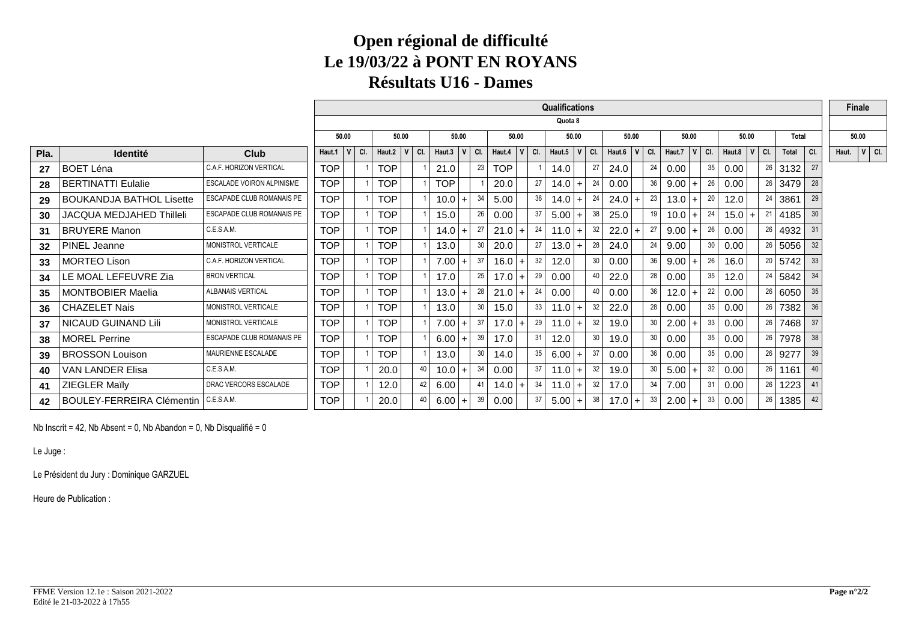#### **Open régional de difficulté Le 19/03/22 à PONT EN ROYANSRésultats U16 - Dames**

|      |                                  |                                  |            |       |     |                  |    |              |            |     |                  |       |    | <b>Qualifications</b> |              |     |        |                |    |        |           |     |                  |       |    |           |     |       | <b>Finale</b> |  |
|------|----------------------------------|----------------------------------|------------|-------|-----|------------------|----|--------------|------------|-----|------------------|-------|----|-----------------------|--------------|-----|--------|----------------|----|--------|-----------|-----|------------------|-------|----|-----------|-----|-------|---------------|--|
|      |                                  |                                  |            |       |     |                  |    |              |            |     |                  |       |    | Quota 8               |              |     |        |                |    |        |           |     |                  |       |    |           |     |       |               |  |
|      |                                  |                                  |            | 50.00 |     | 50.00            |    |              | 50.00      |     |                  | 50.00 |    | 50.00                 |              |     | 50.00  |                |    | 50.00  |           |     |                  | 50.00 |    | Total     |     |       | 50.00         |  |
| Pla. | <b>Identité</b>                  | <b>Club</b>                      | Haut.1     |       | CI. | Haut.2 $ V $ Cl. |    | Haut.3 $ V $ |            | CI. | Haut.4 $ V $ Cl. |       |    | Haut.5                | $\mathbf{V}$ | CI. | Haut.6 | $ V $ CI.      |    | Haut.7 | $ V $ CI. |     | Haut.8 $ V $ Cl. |       |    | Total     | CI. | Haut. | $ V $ CI.     |  |
| 27   | <b>BOET Léna</b>                 | <b>C.A.F. HORIZON VERTICAL</b>   | <b>TOP</b> |       |     | <b>TOP</b>       |    | 21.0         |            | 23  | <b>TOP</b>       |       |    | 14.0                  |              | 27  | 24.0   |                | 24 | 0.00   |           | 35  | 0.00             |       |    | $26$ 3132 | 27  |       |               |  |
| 28   | <b>BERTINATTI Eulalie</b>        | <b>ESCALADE VOIRON ALPINISME</b> | <b>TOP</b> |       |     | <b>TOP</b>       |    | <b>TOP</b>   |            |     | 20.0             |       | 27 | 14.0                  | $+$          | 24  | 0.00   |                | 36 | 9.00   | $+$       | 26  | 0.00             |       |    | $26$ 3479 | 28  |       |               |  |
| 29   | <b>BOUKANDJA BATHOL Lisette</b>  | <b>ESCAPADE CLUB ROMANAIS PE</b> | <b>TOP</b> |       |     | <b>TOP</b>       |    | 10.0         | $+$        | 34  | 5.00             |       | 36 | 14.0                  | $+$          | 24  | 24.0   |                | 23 | 13.0   |           | -20 | 12.0             |       | 24 | 3861      | 29  |       |               |  |
| 30   | <b>JACQUA MEDJAHED Thilleli</b>  | ESCAPADE CLUB ROMANAIS PE        | <b>TOP</b> |       |     | <b>TOP</b>       |    | 15.0         |            | 26  | 0.00             |       | 37 | 5.00                  | $+$          | 38  | 25.0   |                | 19 | 10.0   |           | -24 | $15.0 +$         |       | 21 | 4185      | 30  |       |               |  |
| 31   | <b>BRUYERE Manon</b>             | C.E.S.A.M.                       | <b>TOP</b> |       |     | <b>TOP</b>       |    | $14.0 +$     |            | 27  | 21.0             | $+$   | 24 | 11.0                  | $+$          | -32 | 22.0   | $\ddot{}$      | 27 | 9.00   | $+$       | 26  | 0.00             |       | 26 | 4932      | 31  |       |               |  |
| 32   | PINEL Jeanne                     | MONISTROL VERTICALE              | <b>TOP</b> |       |     | <b>TOP</b>       |    | 13.0         |            | 30  | 20.0             |       | 27 | 13.0                  | $+$          | 28  | 24.0   |                | 24 | 9.00   |           | 30  | 0.00             |       | 26 | 5056      | 32  |       |               |  |
| 33   | <b>MORTEO Lison</b>              | C.A.F. HORIZON VERTICAL          | <b>TOP</b> |       |     | <b>TOP</b>       |    | 7.00         | $\ddot{+}$ | 37  | 16.0             | $+$   | 32 | 12.0                  |              | 30  | 0.00   |                | 36 | 9.00   |           | 26  | 16.0             |       | 20 | 5742      | 33  |       |               |  |
| 34   | LE MOAL LEFEUVRE Zia             | <b>BRON VERTICAL</b>             | <b>TOP</b> |       |     | <b>TOP</b>       |    | 17.0         |            | 25  | 17.0             | $+$   | 29 | 0.00                  |              | 40  | 22.0   |                | 28 | 0.00   |           | 35  | 12.0             |       | 24 | 5842      | 34  |       |               |  |
| 35   | <b>MONTBOBIER Maelia</b>         | ALBANAIS VERTICAL                | <b>TOP</b> |       |     | <b>TOP</b>       |    | $13.0 +$     |            | 28  | 21.0             | $+$   | 24 | 0.00                  |              | 40  | 0.00   |                | 36 | 12.0   | $+$       | 22  | 0.00             |       |    | 26 6050   | 35  |       |               |  |
| 36   | <b>CHAZELET Nais</b>             | MONISTROL VERTICALE              | <b>TOP</b> |       |     | <b>TOP</b>       |    | 13.0         |            | 30  | 15.0             |       | 33 | 11.0                  | $+$          | 32  | 22.0   |                | 28 | 0.00   |           | 35  | 0.00             |       | 26 | 7382      | 36  |       |               |  |
| 37   | NICAUD GUINAND Lili              | MONISTROL VERTICALE              | <b>TOP</b> |       |     | <b>TOP</b>       |    | 7.00         | $+$        | 37  | $17.0 +$         |       | 29 | $11.0$ +              |              | 32  | 19.0   |                | 30 | 2.00   |           | 33  | 0.00             |       |    | $26$ 7468 | 37  |       |               |  |
| 38   | <b>MOREL Perrine</b>             | <b>ESCAPADE CLUB ROMANAIS PE</b> | <b>TOP</b> |       |     | <b>TOP</b>       |    | $6.00 +$     |            | 39  | 17.0             |       | 31 | 12.0                  |              | 30  | 19.0   |                | 30 | 0.00   |           | 35  | 0.00             |       |    | 26 7978   | 38  |       |               |  |
| 39   | <b>BROSSON Louison</b>           | MAURIENNE ESCALADE               | <b>TOP</b> |       |     | <b>TOP</b>       |    | 13.0         |            | 30  | 14.0             |       | 35 | 6.00                  | $+$          | 37  | 0.00   |                | 36 | 0.00   |           | 35  | 0.00             |       |    | 26 9277   | 39  |       |               |  |
| 40   | <b>VAN LANDER Elisa</b>          | C.E.S.A.M.                       | <b>TOP</b> |       |     | 20.0             | 40 | 10.0         | $+$        | 34  | 0.00             |       | 37 | 11.0                  | $+$          | 32  | 19.0   |                | 30 | 5.00   |           | 32  | 0.00             |       | 26 | 1161      | 40  |       |               |  |
| 41   | <b>ZIEGLER Maïly</b>             | DRAC VERCORS ESCALADE            | <b>TOP</b> |       |     | 12.0             | 42 | 6.00         |            | 41  | 14.0             | $+$   | 34 | 11.0                  | $+$          | 32  | 17.0   |                | 34 | 7.00   |           | 31  | 0.00             |       | 26 | 1223      |     |       |               |  |
| 42   | <b>BOULEY-FERREIRA Clémentin</b> | C.E.S.A.M.                       | <b>TOP</b> |       |     | 20.0             | 40 | $6.00 +$     |            | 39  | 0.00             |       | 37 | 5.00                  | $+$          | 38  | 17.0   | $\overline{+}$ | 33 | 2.00   | $+$       | 33  | 0.00             |       | 26 | 1385      | 42  |       |               |  |

Nb Inscrit = 42, Nb Absent = 0, Nb Abandon = 0, Nb Disqualifié = 0

Le Juge :

Le Président du Jury : Dominique GARZUEL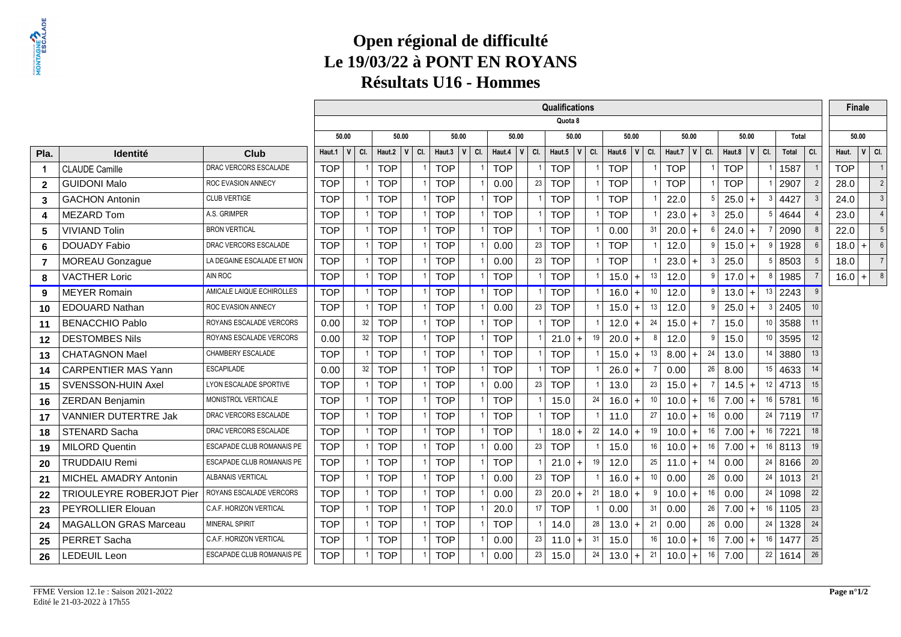# **Open régional de difficulté Le 19/03/22 à PONT EN ROYANSRésultats U16 - Hommes**

|                |                                 |                                  |            |                |            |           |              |     |              |     | Qualifications   |    |                  |                |    |                       |              |            |                  |                     |     | <b>Finale</b> |           |                |
|----------------|---------------------------------|----------------------------------|------------|----------------|------------|-----------|--------------|-----|--------------|-----|------------------|----|------------------|----------------|----|-----------------------|--------------|------------|------------------|---------------------|-----|---------------|-----------|----------------|
|                |                                 |                                  |            |                |            |           |              |     |              |     | Quota 8          |    |                  |                |    |                       |              |            |                  |                     |     |               |           |                |
|                |                                 |                                  |            | 50.00          |            | 50.00     | 50.00        |     | 50.00        |     | 50.00            |    |                  | 50.00          |    | 50.00                 |              |            | 50.00            | Total               |     | 50.00         |           |                |
| Pla.           | <b>Identité</b>                 | <b>Club</b>                      | Haut.1     | v <br>CI.      | Haut.2     | v <br>CI. | Haut.3 $ V $ | CI. | Haut.4 $ V $ | CI. | Haut.5 $ V $ Cl. |    | Haut.6 $ V $ Cl. |                |    | Haut.7<br>$\mathbf v$ | CI.          |            | Haut.8 $ V $ Cl. | Total               | CI. | Haut.         | $ V $ CI. |                |
| $\overline{1}$ | <b>CLAUDE Camille</b>           | DRAC VERCORS ESCALADE            | <b>TOP</b> | $\overline{1}$ | <b>TOP</b> |           | <b>TOP</b>   |     | <b>TOP</b>   |     | <b>TOP</b>       |    | <b>TOP</b>       |                |    | <b>TOP</b>            |              | <b>TOP</b> |                  | 1587                |     | <b>TOP</b>    |           |                |
| $\overline{2}$ | <b>GUIDONI Malo</b>             | ROC EVASION ANNECY               | <b>TOP</b> |                | <b>TOP</b> |           | <b>TOP</b>   |     | 0.00         | 23  | <b>TOP</b>       |    | <b>TOP</b>       |                |    | <b>TOP</b>            |              | <b>TOP</b> |                  | 2907                |     | 28.0          |           | $\overline{2}$ |
| 3              | <b>GACHON Antonin</b>           | <b>CLUB VERTIGE</b>              | <b>TOP</b> |                | <b>TOP</b> |           | <b>TOP</b>   |     | <b>TOP</b>   |     | <b>TOP</b>       |    | <b>TOP</b>       |                |    | 22.0                  |              | 25.0       | $+$              | 3 4427              |     | 24.0          |           |                |
| 4              | <b>MEZARD Tom</b>               | A.S. GRIMPER                     | <b>TOP</b> |                | <b>TOP</b> |           | <b>TOP</b>   |     | <b>TOP</b>   |     | <b>TOP</b>       |    | <b>TOP</b>       |                |    | $23.0 +$              | $\mathbf{3}$ | 25.0       | 5.               | 4644                |     | 23.0          |           | $\overline{4}$ |
| 5              | <b>VIVIAND Tolin</b>            | <b>BRON VERTICAL</b>             | <b>TOP</b> |                | <b>TOP</b> |           | <b>TOP</b>   |     | <b>TOP</b>   |     | <b>TOP</b>       |    | 0.00             |                | 31 | $20.0 +$              |              | 24.0       | $+$              | 2090                |     | 22.0          |           |                |
| 6              | <b>DOUADY Fabio</b>             | DRAC VERCORS ESCALADE            | <b>TOP</b> |                | <b>TOP</b> |           | <b>TOP</b>   |     | 0.00         | 23  | <b>TOP</b>       |    | <b>TOP</b>       |                |    | 12.0                  | q            | 15.0       | 9<br>$+$         | 1928                |     | 18.0          | $+$       | 6              |
| $\overline{7}$ | <b>MOREAU Gonzague</b>          | LA DEGAINE ESCALADE ET MON       | <b>TOP</b> |                | <b>TOP</b> |           | <b>TOP</b>   |     | 0.00         | 23  | <b>TOP</b>       |    | <b>TOP</b>       |                |    | $23.0 +$              |              | 25.0       | 5 <sup>1</sup>   | 8503                |     | 18.0          |           |                |
| 8              | <b>VACTHER Loric</b>            | AIN ROC                          | <b>TOP</b> |                | <b>TOP</b> |           | <b>TOP</b>   |     | <b>TOP</b>   |     | <b>TOP</b>       |    | $15.0 +$         |                | 13 | 12.0                  | 9            | $17.0 +$   | 8                | 1985                |     | 16.0          | $+ $      | 8              |
| 9              | <b>MEYER Romain</b>             | AMICALE LAIQUE ECHIROLLES        | <b>TOP</b> |                | <b>TOP</b> |           | <b>TOP</b>   |     | <b>TOP</b>   |     | <b>TOP</b>       |    | $16.0$ +         |                | 10 | 12.0                  | -9           | $13.0$ +   | 13               | 2243                |     |               |           |                |
| 10             | <b>EDOUARD Nathan</b>           | ROC EVASION ANNECY               | <b>TOP</b> |                | <b>TOP</b> |           | <b>TOP</b>   |     | 0.00         | 23  | <b>TOP</b>       |    | $15.0 +$         |                | 13 | 12.0                  | q            | 25.0       | 3                | 2405                | 10  |               |           |                |
| 11             | <b>BENACCHIO Pablo</b>          | ROYANS ESCALADE VERCORS          | 0.00       | 32             | <b>TOP</b> |           | <b>TOP</b>   |     | <b>TOP</b>   |     | <b>TOP</b>       |    | 12.0             | $+$            | 24 | $15.0 +$              |              | 15.0       | 10               | 3588                | 11  |               |           |                |
| 12             | <b>DESTOMBES Nils</b>           | ROYANS ESCALADE VERCORS          | 0.00       | 32             | <b>TOP</b> |           | <b>TOP</b>   |     | <b>TOP</b>   |     | $21.0 +$         | 19 | 20.0             | $+$            | 8  | 12.0                  | q            | 15.0       | 10 <sup>10</sup> | 3595                | 12  |               |           |                |
| 13             | <b>CHATAGNON Mael</b>           | CHAMBERY ESCALADE                | <b>TOP</b> |                | <b>TOP</b> |           | <b>TOP</b>   |     | <b>TOP</b>   |     | <b>TOP</b>       |    | $15.0$ +         |                | 13 | $8.00 +$              | 24           | 13.0       | 14               | 3880                | 13  |               |           |                |
| 14             | <b>CARPENTIER MAS Yann</b>      | <b>ESCAPILADE</b>                | 0.00       | 32             | <b>TOP</b> |           | <b>TOP</b>   |     | <b>TOP</b>   |     | <b>TOP</b>       |    | 26.0             | l +            |    | 0.00                  | 26           | 8.00       |                  | $15 \mid 4633 \mid$ | 14  |               |           |                |
| 15             | SVENSSON-HUIN Axel              | <b>LYON ESCALADE SPORTIVE</b>    | <b>TOP</b> |                | <b>TOP</b> |           | <b>TOP</b>   |     | 0.00         | 23  | <b>TOP</b>       |    | 13.0             |                | 23 | $15.0 +$              |              | 14.5       |                  | $12$ 4713           | 15  |               |           |                |
| 16             | <b>ZERDAN Benjamin</b>          | MONISTROL VERTICALE              | <b>TOP</b> |                | <b>TOP</b> |           | <b>TOP</b>   |     | <b>TOP</b>   |     | 15.0             | 24 | 16.0             | $+$            | 10 | $10.0$ +              | 16           | 7.00       | 16               | 5781                | 16  |               |           |                |
| 17             | <b>VANNIER DUTERTRE Jak</b>     | DRAC VERCORS ESCALADE            | <b>TOP</b> |                | <b>TOP</b> |           | <b>TOP</b>   |     | <b>TOP</b>   |     | <b>TOP</b>       |    | 11.0             |                | 27 | $10.0 +$              | 16           | 0.00       |                  | $24$ 7119           | 17  |               |           |                |
| 18             | STENARD Sacha                   | DRAC VERCORS ESCALADE            | <b>TOP</b> |                | <b>TOP</b> |           | <b>TOP</b>   |     | <b>TOP</b>   |     | $18.0 +$         | 22 | 14.0             | $+$            | 19 | $10.0$ +              | 16           | 7.00       | 16 <sup>1</sup>  | 7221                | 18  |               |           |                |
| 19             | <b>MILORD Quentin</b>           | ESCAPADE CLUB ROMANAIS PE        | <b>TOP</b> |                | <b>TOP</b> |           | <b>TOP</b>   |     | 0.00         | 23  | <b>TOP</b>       |    | 15.0             |                | 16 | $10.0$ +              | 16           | 7.00       | 16               | 8113                | 19  |               |           |                |
| 20             | <b>TRUDDAIU Remi</b>            | ESCAPADE CLUB ROMANAIS PE        | <b>TOP</b> |                | <b>TOP</b> |           | <b>TOP</b>   |     | <b>TOP</b>   |     | $21.0 +$         | 19 | 12.0             |                | 25 | $11.0 +$              | 14           | 0.00       |                  | 24   8166           | 20  |               |           |                |
| 21             | MICHEL AMADRY Antonin           | ALBANAIS VERTICAL                | <b>TOP</b> |                | <b>TOP</b> |           | <b>TOP</b>   |     | 0.00         | 23  | <b>TOP</b>       |    | 16.0             | $\overline{+}$ | 10 | 0.00                  | 26           | 0.00       |                  | 24   1013           | 21  |               |           |                |
| 22             | <b>TRIOULEYRE ROBERJOT Pier</b> | ROYANS ESCALADE VERCORS          | <b>TOP</b> |                | <b>TOP</b> |           | <b>TOP</b>   |     | 0.00         | 23  | $20.0 +$         | 21 | 18.0             | $\overline{+}$ | -9 | $10.0 +$              | 16           | 0.00       |                  | 24 1098             | 22  |               |           |                |
| 23             | PEYROLLIER Elouan               | C.A.F. HORIZON VERTICAL          | <b>TOP</b> |                | <b>TOP</b> |           | <b>TOP</b>   |     | 20.0         | 17  | <b>TOP</b>       |    | 0.00             |                | 31 | 0.00                  | 26           | 7.00       | 16               | 1105                | 23  |               |           |                |
| 24             | <b>MAGALLON GRAS Marceau</b>    | <b>MINERAL SPIRIT</b>            | <b>TOP</b> |                | <b>TOP</b> |           | <b>TOP</b>   |     | <b>TOP</b>   |     | 14.0             | 28 | 13.0             | <b>+</b>       | 21 | 0.00                  | 26           | 0.00       |                  | $24$   1328         | 24  |               |           |                |
| 25             | PERRET Sacha                    | C.A.F. HORIZON VERTICAL          | <b>TOP</b> |                | <b>TOP</b> |           | <b>TOP</b>   |     | 0.00         | 23  | $11.0 +$         | 31 | 15.0             |                | 16 | $10.0$ +              | 16           | 7.00       | 16               | 1477                | 25  |               |           |                |
| 26             | LEDEUIL Leon                    | <b>ESCAPADE CLUB ROMANAIS PE</b> | <b>TOP</b> |                | <b>TOP</b> |           | <b>TOP</b>   |     | 0.00         | 23  | 15.0             | 24 | 13.0             | ╵┿             | 21 | $10.0 +$              | 16           | 7.00       |                  | $22$ 1614           | 26  |               |           |                |
|                |                                 |                                  |            |                |            |           |              |     |              |     |                  |    |                  |                |    |                       |              |            |                  |                     |     |               |           |                |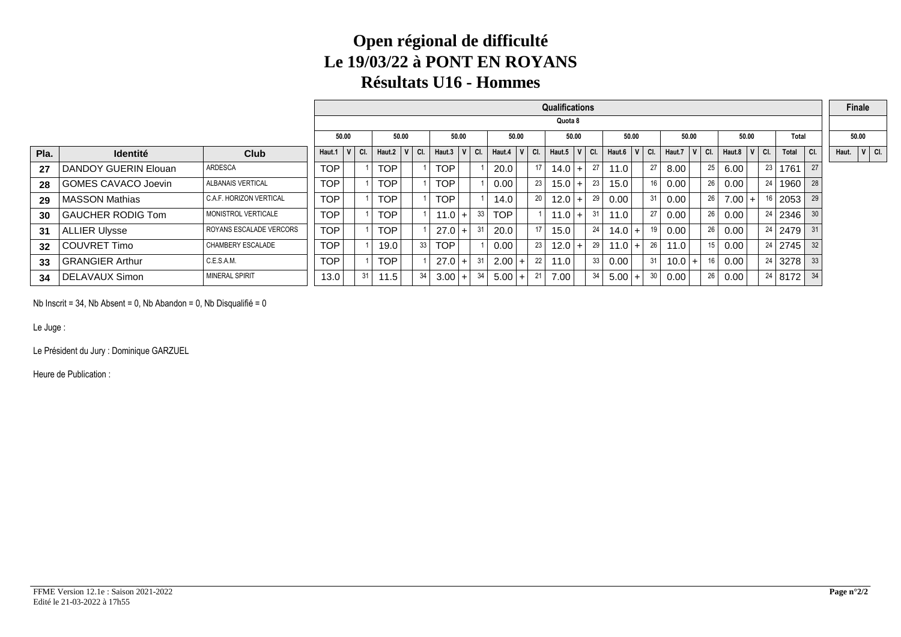### **Open régional de difficulté Le 19/03/22 à PONT EN ROYANSRésultats U16 - Hommes**

|      |                            |                          |            |       |     |              |     |            |       |               |                  |     |    | Qualifications |    |                  |       |    |             |           |    |                  |       |    |              |     |       | Finale    |  |
|------|----------------------------|--------------------------|------------|-------|-----|--------------|-----|------------|-------|---------------|------------------|-----|----|----------------|----|------------------|-------|----|-------------|-----------|----|------------------|-------|----|--------------|-----|-------|-----------|--|
|      |                            |                          |            |       |     |              |     |            |       |               |                  |     |    | Quota 8        |    |                  |       |    |             |           |    |                  |       |    |              |     |       |           |  |
|      |                            |                          |            | 50.00 |     | 50.00        |     |            | 50.00 |               | 50.00            |     |    | 50.00          |    |                  | 50.00 |    | 50.00       |           |    |                  | 50.00 |    | <b>Total</b> |     |       | 50.00     |  |
| Pla. | <b>Identité</b>            | <b>Club</b>              | Haut.1     |       | CI. | Haut.2 $ V $ | CI. | Haut.3 $ $ |       | $V \mid C$ I. | Haut.4 $ V $ Cl. |     |    | Haut.5 $V$ Cl. |    | Haut.6 $ V $ Cl. |       |    | Haut.7      | $ V $ CI. |    | Haut.8 $ V $ Cl. |       |    | Total        | CI. | Haut. | $ V $ CI. |  |
| 27   | DANDOY GUERIN Elouan       | ARDESCA                  | <b>TOP</b> |       |     | TOP          |     | <b>TOP</b> |       |               | 20.0             |     | 17 | 14.0           | 27 | 11.0             |       | 27 | 8.00        |           | 25 | 6.00             |       | 23 | 1761         | 27  |       |           |  |
| 28   | <b>GOMES CAVACO Joevin</b> | <b>ALBANAIS VERTICAL</b> | <b>TOP</b> |       |     | TOP          |     | <b>TOP</b> |       |               | 0.00             |     | 23 | 15.0<br>$+$    | 23 | 15.0             |       | 16 | 0.00        |           | 26 | 0.00             |       | 24 | 1960         | 28  |       |           |  |
| 29   | <b>MASSON Mathias</b>      | C.A.F. HORIZON VERTICAL  | <b>TOP</b> |       |     | TOP          |     | TOP        |       |               | 14.0             |     | 20 | 12.0           | 29 | 0.00             |       | 31 | 0.00        |           | 26 | $7.00 +$         |       |    | 2053         | 29  |       |           |  |
| 30   | <b>GAUCHER RODIG Tom</b>   | MONISTROL VERTICALE      | <b>TOP</b> |       |     | TOP          |     | $11.0 +$   |       | 33            | <b>TOP</b>       |     |    | 11.0<br>$\div$ | 31 | 11.0             |       | 27 | 0.00        |           | 26 | 0.00             |       | 24 | 2346         | 30  |       |           |  |
| 31   | <b>ALLIER Ulysse</b>       | ROYANS ESCALADE VERCORS  | <b>TOP</b> |       |     | TOP          |     | $27.0$ +   |       | 31            | 20.0             |     | 17 | 15.0           | 24 | $14.0 +$         |       | 19 | 0.00        |           | 26 | 0.00             |       | 24 | 2479         | 31  |       |           |  |
| 32   | <b>COUVRET Timo</b>        | <b>CHAMBERY ESCALADE</b> | <b>TOP</b> |       |     | 19.0         | 33  | TOP        |       |               | 0.00             |     | 23 | 12.0           | 29 | $11.0 +$         |       | 26 | 11.0        |           | 15 | 0.00             |       |    | $24$   2745  | 32  |       |           |  |
| 33   | <b>GRANGIER Arthur</b>     | C.E.S.A.M.               | <b>TOP</b> |       |     | TOP          |     | $27.0+$    |       | 31            | 2.00             | $+$ | 22 | 11.0           | 33 | 0.00             |       | 31 | 10.0<br>$+$ |           | 16 | 0.00             |       | 24 | 3278         | 33  |       |           |  |
| 34   | DELAVAUX Simon             | <b>MINERAL SPIRIT</b>    | 13.0       |       | 31  | 11.5         | 34  | $3.00 +$   |       | 34            | 5.00             | $+$ |    | 7.00           | 34 | $5.00 +$         |       | 30 | 0.00        |           | 26 | 0.00             |       |    | 24   8172    | 34  |       |           |  |

Nb Inscrit = 34, Nb Absent = 0, Nb Abandon = 0, Nb Disqualifié = 0

Le Juge :

Le Président du Jury : Dominique GARZUEL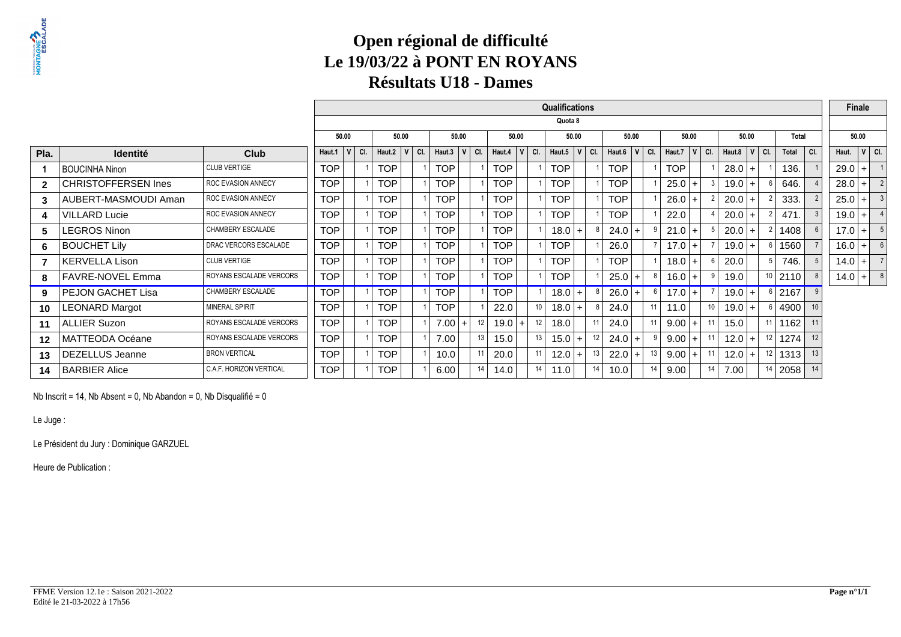### **Open régional de difficulté Le 19/03/22 à PONT EN ROYANSRésultats U18 - Dames**

|              |                            |                           |            |           |            |            |            |         |    |                   |                 | <b>Qualifications</b> |          |                  |       |    |            |         |    |                  |       |                 |       |     |          | Finale |                         |
|--------------|----------------------------|---------------------------|------------|-----------|------------|------------|------------|---------|----|-------------------|-----------------|-----------------------|----------|------------------|-------|----|------------|---------|----|------------------|-------|-----------------|-------|-----|----------|--------|-------------------------|
|              |                            |                           |            |           |            |            |            |         |    |                   |                 | Quota 8               |          |                  |       |    |            |         |    |                  |       |                 |       |     |          |        |                         |
|              |                            |                           |            | 50.00     |            | 50.00      | 50.00      |         |    | 50.00             |                 | 50.00                 |          |                  | 50.00 |    |            | 50.00   |    |                  | 50.00 |                 | Total |     |          | 50.00  |                         |
| Pla.         | <b>Identité</b>            | Club                      | Haut.1     | $ V $ CI. | Haut.2     | $V$ $C$ I. | Haut.3     | $V$ CI. |    | Haut.4            | $V$ $C$ .       | Haut.5                | V<br>CI. | Haut.6 $ V $ Cl. |       |    | Haut.7     | $V$ CI. |    | Haut.8 $ V $ Cl. |       |                 | Total | CI. | Haut.    |        | $ V $ CI.               |
|              | <b>BOUCINHA Ninon</b>      | <b>CLUB VERTIGE</b>       | TOP        |           | TOP        |            | <b>TOP</b> |         |    | <b>TOP</b>        |                 | TOP                   |          | <b>TOP</b>       |       |    | <b>TOP</b> |         |    | $28.0 +$         |       |                 | 136.  |     | $29.0$ + |        |                         |
| $\mathbf{2}$ | <b>CHRISTOFFERSEN Ines</b> | <b>ROC EVASION ANNECY</b> | TOP        |           | <b>TOP</b> |            | <b>TOP</b> |         |    | <b>TOP</b>        |                 | TOP                   |          | <b>TOP</b>       |       |    | 25.0       | $+$     |    | $19.0 +$         |       |                 | 646.  |     | $28.0$ + |        | $\overline{2}$          |
| 3            | AUBERT-MASMOUDI Aman       | <b>ROC EVASION ANNECY</b> | TOP        |           | <b>TOP</b> |            | <b>TOP</b> |         |    | <b>TOP</b>        |                 | TOP                   |          | <b>TOP</b>       |       |    | 26.0       | $+$     |    | 20.0             | $+$   |                 | 333.  |     | $25.0$ + |        | $\overline{\mathbf{3}}$ |
| 4            | <b>VILLARD Lucie</b>       | <b>ROC EVASION ANNECY</b> | <b>TOP</b> |           | <b>TOP</b> |            | <b>TOP</b> |         |    | <b>TOP</b>        |                 | <b>TOP</b>            |          | <b>TOP</b>       |       |    | 22.0       |         |    | 20.0             |       |                 | 471   |     | $19.0$ + |        |                         |
| 5            | LEGROS Ninon               | CHAMBERY ESCALADE         | <b>TOP</b> |           | <b>TOP</b> |            | <b>TOP</b> |         |    | <b>TOP</b>        |                 | 18.0                  |          | 24.0             | $+$   |    | 21.0       | $+$     |    | 20.0             |       |                 | 1408  |     | $17.0$ + |        | 5                       |
| 6            | <b>BOUCHET Lily</b>        | DRAC VERCORS ESCALADE     | <b>TOP</b> |           | <b>TOP</b> |            | <b>TOP</b> |         |    | <b>TOP</b>        |                 | <b>TOP</b>            |          | 26.0             |       |    | 17.0       | $+$     |    | 19.0             |       |                 | 1560  |     | $16.0$ + |        | 6                       |
| 7            | <b>KERVELLA Lison</b>      | <b>CLUB VERTIGE</b>       | <b>TOP</b> |           | <b>TOP</b> |            | <b>TOP</b> |         |    | <b>TOP</b>        |                 | TOP                   |          | <b>TOP</b>       |       |    | 18.0       | $+$     |    | 20.0             |       |                 | 746.  |     | $14.0 +$ |        | $\overline{7}$          |
| 8            | FAVRE-NOVEL Emma           | ROYANS ESCALADE VERCORS   | <b>TOP</b> |           | <b>TOP</b> |            | <b>TOP</b> |         |    | <b>TOP</b>        |                 | <b>TOP</b>            |          | $25.0$ +         |       |    | 16.0       | $+$     |    | 19.0             |       | 10 <sup>1</sup> | 2110  |     | $14.0$ + |        | 8                       |
| 9            | PEJON GACHET Lisa          | CHAMBERY ESCALADE         | TOP        |           | <b>TOP</b> |            | <b>TOP</b> |         |    | <b>TOP</b>        |                 | 18.0                  | $+$      | $26.0 +$         |       |    | 17.0       | $+$     |    | 19.0             | $+$   | -6              | 2167  |     |          |        |                         |
| 10           | <b>LEONARD Margot</b>      | <b>MINERAL SPIRIT</b>     | <b>TOP</b> |           | <b>TOP</b> |            | <b>TOP</b> |         |    | 22.0              | 10 <sup>1</sup> | 18.0                  | $+$      | 24.0             |       | 11 | 11.0       |         | 10 | $19.0 +$         |       |                 | 4900  |     |          |        |                         |
| 11           | <b>ALLIER Suzon</b>        | ROYANS ESCALADE VERCORS   | <b>TOP</b> |           | <b>TOP</b> |            | 7.00       |         | 12 | 19.0<br>$\ddot{}$ | 12              | 18.0                  |          | 24.0             |       | 11 | $9.00 +$   |         |    | 15.0             |       | 11              | 1162  |     |          |        |                         |
| $12 \,$      | MATTEODA Océane            | ROYANS ESCALADE VERCORS   | <b>TOP</b> |           | <b>TOP</b> |            | 7.00       |         | 13 | 15.0              | 13              | 15.0                  | 12       | 24.0             | $+$   |    | 9.00       | $+$     | 11 | 12.0             | $+$   | 12              | 1274  |     |          |        |                         |
| 13           | DEZELLUS Jeanne            | <b>BRON VERTICAL</b>      | <b>TOP</b> |           | <b>TOP</b> |            | 10.0       |         | 11 | 20.0              | 11              | 12.0                  | 13       | 22.0             | $+$   | 13 | 9.00       | $+$     | 11 | 12.0             | $+$   | 12              | 1313  | 13  |          |        |                         |
| 14           | <b>BARBIER Alice</b>       | C.A.F. HORIZON VERTICAL   | <b>TOP</b> |           | <b>TOP</b> |            | 6.00       |         | 14 | 14.0              | 14              | 11.0                  | 14       | 10.0             |       | 14 | 9.00       |         | 14 | 7.00             |       | 14              | 2058  | 14  |          |        |                         |

Nb Inscrit = 14, Nb Absent = 0, Nb Abandon = 0, Nb Disqualifié = 0

Le Juge :

Le Président du Jury : Dominique GARZUEL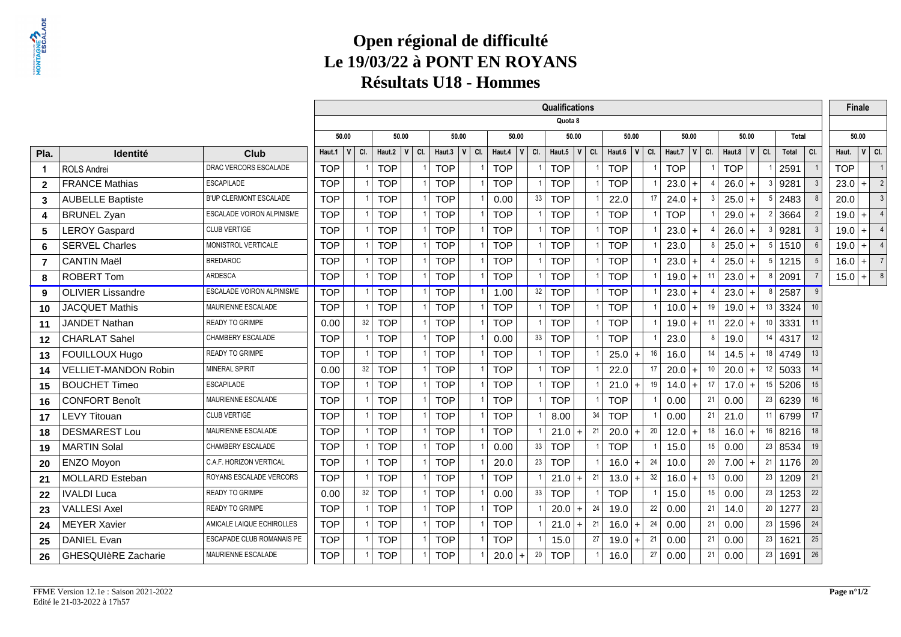# **Open régional de difficulté Le 19/03/22 à PONT EN ROYANSRésultats U18 - Hommes**

|                |                             |                                  |            |              |     |              |                |              |     |                   |                 | Qualifications         |     |                        |    |            |           |                  |       |    |       |     | <b>Finale</b> |                                 |
|----------------|-----------------------------|----------------------------------|------------|--------------|-----|--------------|----------------|--------------|-----|-------------------|-----------------|------------------------|-----|------------------------|----|------------|-----------|------------------|-------|----|-------|-----|---------------|---------------------------------|
|                |                             |                                  |            |              |     |              |                |              |     |                   |                 | Quota 8                |     |                        |    |            |           |                  |       |    |       |     |               |                                 |
|                |                             |                                  |            | 50.00        |     | 50.00        |                | 50.00        |     |                   | 50.00           | 50.00                  |     | 50.00                  |    |            | 50.00     |                  | 50.00 |    | Total |     | 50.00         |                                 |
| Pla.           | Identité                    | <b>Club</b>                      | Haut.1     | $\mathsf{v}$ | CI. | Haut.2 $ V $ | CI.            | Haut.3 $ V $ | CI. | Haut.4 $\sqrt{V}$ | CI.             | Haut.5<br>$\mathbf{V}$ | CI. | Haut.6 $ V $ Cl.       |    | Haut.7     | $ V $ CI. | Haut.8 $ V $ Cl. |       |    | Total | CI. | Haut.         | $ V $ CI.                       |
| $\mathbf{1}$   | <b>ROLS Andrei</b>          | DRAC VERCORS ESCALADE            | <b>TOP</b> |              |     | <b>TOP</b>   |                | <b>TOP</b>   |     | <b>TOP</b>        |                 | <b>TOP</b>             |     | <b>TOP</b>             |    | <b>TOP</b> |           | <b>TOP</b>       |       |    | 2591  |     | <b>TOP</b>    |                                 |
| $\mathbf{2}$   | <b>FRANCE Mathias</b>       | <b>ESCAPILADE</b>                | <b>TOP</b> |              |     | <b>TOP</b>   |                | <b>TOP</b>   |     | <b>TOP</b>        |                 | <b>TOP</b>             |     | <b>TOP</b>             |    | $23.0 +$   |           | $26.0 +$         |       |    | 9281  |     | 23.0          | $\overline{2}$<br>$+$           |
| 3              | <b>AUBELLE Baptiste</b>     | B'UP CLERMONT ESCALADE           | <b>TOP</b> |              |     | <b>TOP</b>   |                | <b>TOP</b>   |     | 0.00              | 33              | <b>TOP</b>             |     | 22.0                   | 17 | 24.0       | 3<br>$+$  | $25.0 +$         |       |    | 2483  |     | 20.0          | $\mathbf{3}$                    |
| 4              | <b>BRUNEL Zyan</b>          | ESCALADE VOIRON ALPINISME        | <b>TOP</b> |              |     | <b>TOP</b>   |                | <b>TOP</b>   |     | <b>TOP</b>        |                 | <b>TOP</b>             |     | <b>TOP</b>             |    | <b>TOP</b> |           | $29.0 +$         |       |    | 3664  |     | 19.0          | $\overline{4}$<br>$+$           |
| 5              | <b>LEROY Gaspard</b>        | <b>CLUB VERTIGE</b>              | <b>TOP</b> |              |     | <b>TOP</b>   |                | <b>TOP</b>   |     | <b>TOP</b>        |                 | <b>TOP</b>             |     | <b>TOP</b>             |    | $23.0 +$   |           | $26.0 +$         |       |    | 9281  |     | 19.0          | $\overline{4}$<br>$+$           |
| 6              | <b>SERVEL Charles</b>       | MONISTROL VERTICALE              | <b>TOP</b> |              |     | <b>TOP</b>   | $\overline{1}$ | <b>TOP</b>   |     | <b>TOP</b>        |                 | <b>TOP</b>             |     | <b>TOP</b>             |    | 23.0       | <b>s</b>  | $25.0 +$         |       | -5 | 1510  |     | 19.0          | $\overline{\phantom{0}}$<br>$+$ |
| $\overline{7}$ | <b>CANTIN Maël</b>          | <b>BREDAROC</b>                  | <b>TOP</b> |              |     | <b>TOP</b>   |                | <b>TOP</b>   |     | <b>TOP</b>        |                 | <b>TOP</b>             |     | <b>TOP</b>             |    | $23.0 +$   |           | $25.0 +$         |       |    | 1215  |     | 16.0          | $ + $ 7                         |
| 8              | <b>ROBERT Tom</b>           | <b>ARDESCA</b>                   | <b>TOP</b> |              |     | <b>TOP</b>   |                | <b>TOP</b>   |     | <b>TOP</b>        |                 | <b>TOP</b>             |     | <b>TOP</b>             |    | $19.0$ +   | 11        | $23.0 +$         |       |    | 2091  |     | $15.0$ + $8$  |                                 |
| 9              | <b>OLIVIER Lissandre</b>    | <b>ESCALADE VOIRON ALPINISME</b> | <b>TOP</b> |              |     | <b>TOP</b>   |                | <b>TOP</b>   |     | 1.00              | 32              | <b>TOP</b>             |     | <b>TOP</b>             |    | $23.0 +$   |           | $23.0$ +         |       |    | 2587  |     |               |                                 |
| 10             | <b>JACQUET Mathis</b>       | MAURIENNE ESCALADE               | <b>TOP</b> |              |     | <b>TOP</b>   |                | <b>TOP</b>   |     | <b>TOP</b>        |                 | <b>TOP</b>             |     | <b>TOP</b>             |    | $10.0 +$   | 19        | $19.0 +$         |       | 13 | 3324  |     |               |                                 |
| 11             | JANDET Nathan               | <b>READY TO GRIMPE</b>           | 0.00       |              | 32  | <b>TOP</b>   |                | <b>TOP</b>   |     | <b>TOP</b>        |                 | <b>TOP</b>             |     | <b>TOP</b>             |    | 19.0       | 11<br>$+$ | $22.0 +$         |       | 10 | 3331  |     |               |                                 |
| 12             | <b>CHARLAT Sahel</b>        | CHAMBERY ESCALADE                | <b>TOP</b> |              |     | <b>TOP</b>   |                | <b>TOP</b>   |     | 0.00              | 33              | <b>TOP</b>             |     | <b>TOP</b>             |    | 23.0       | ۶,        | 19.0             |       | 14 | 4317  | 12  |               |                                 |
| 13             | FOUILLOUX Hugo              | <b>READY TO GRIMPE</b>           | <b>TOP</b> |              |     | <b>TOP</b>   |                | <b>TOP</b>   |     | <b>TOP</b>        |                 | <b>TOP</b>             |     | 25.0<br>l +            | 16 | 16.0       | 14        | $14.5$ +         |       | 18 | 4749  | 13  |               |                                 |
| 14             | <b>VELLIET-MANDON Robin</b> | MINERAL SPIRIT                   | 0.00       |              | 32  | <b>TOP</b>   |                | <b>TOP</b>   |     | <b>TOP</b>        |                 | <b>TOP</b>             |     | 22.0                   | 17 | $20.0$ +   | 10        | $20.0$ +         |       | 12 | 5033  |     |               |                                 |
| 15             | <b>BOUCHET Timeo</b>        | <b>ESCAPILADE</b>                | <b>TOP</b> |              |     | <b>TOP</b>   |                | <b>TOP</b>   |     | <b>TOP</b>        |                 | <b>TOP</b>             |     | 21.0<br>$\ddot{}$      | 19 | 14.0       | 17<br>$+$ | $17.0 +$         |       | 15 | 5206  |     |               |                                 |
| 16             | <b>CONFORT Benoît</b>       | MAURIENNE ESCALADE               | <b>TOP</b> |              |     | <b>TOP</b>   |                | <b>TOP</b>   |     | <b>TOP</b>        |                 | <b>TOP</b>             |     | <b>TOP</b>             |    | 0.00       | 21        | 0.00             |       | 23 | 6239  | 16  |               |                                 |
| 17             | <b>LEVY Titouan</b>         | <b>CLUB VERTIGE</b>              | <b>TOP</b> |              |     | <b>TOP</b>   |                | <b>TOP</b>   |     | <b>TOP</b>        |                 | 8.00                   | 34  | <b>TOP</b>             |    | 0.00       | 21        | 21.0             |       | 11 | 6799  |     |               |                                 |
| 18             | <b>DESMAREST Lou</b>        | MAURIENNE ESCALADE               | <b>TOP</b> |              |     | <b>TOP</b>   |                | <b>TOP</b>   |     | <b>TOP</b>        |                 | $21.0 +$               | 21  | 20.0<br>$\overline{ }$ | 20 | $12.0 +$   | 18        | 16.0             |       | 16 | 8216  |     |               |                                 |
| 19             | <b>MARTIN Solal</b>         | CHAMBERY ESCALADE                | <b>TOP</b> |              |     | <b>TOP</b>   |                | <b>TOP</b>   |     | 0.00              | 33              | <b>TOP</b>             |     | <b>TOP</b>             |    | 15.0       | 15        | 0.00             |       | 23 | 8534  |     |               |                                 |
| 20             | <b>ENZO Moyon</b>           | C.A.F. HORIZON VERTICAL          | <b>TOP</b> |              |     | <b>TOP</b>   |                | <b>TOP</b>   |     | 20.0              | 23              | <b>TOP</b>             |     | 16.0<br>$\overline{ }$ | 24 | 10.0       | 20        | 7.00             |       | 21 | 1176  | 20  |               |                                 |
| 21             | <b>MOLLARD Esteban</b>      | ROYANS ESCALADE VERCORS          | <b>TOP</b> |              |     | <b>TOP</b>   |                | <b>TOP</b>   |     | <b>TOP</b>        |                 | $21.0$ +               | 21  | 13.0<br>$\overline{+}$ | 32 | $16.0 +$   | 13        | 0.00             |       | 23 | 1209  | 21  |               |                                 |
| 22             | <b>IVALDI Luca</b>          | <b>READY TO GRIMPE</b>           | 0.00       |              | 32  | <b>TOP</b>   |                | <b>TOP</b>   |     | 0.00              | 33              | <b>TOP</b>             |     | <b>TOP</b>             |    | 15.0       | 15        | 0.00             |       | 23 | 1253  | 22  |               |                                 |
| 23             | <b>VALLESI Axel</b>         | <b>READY TO GRIMPE</b>           | <b>TOP</b> |              |     | <b>TOP</b>   |                | <b>TOP</b>   |     | <b>TOP</b>        |                 | $20.0$ +               | 24  | 19.0                   | 22 | 0.00       | 21        | 14.0             |       | 20 | 1277  | 23  |               |                                 |
| 24             | <b>MEYER Xavier</b>         | AMICALE LAIQUE ECHIROLLES        | <b>TOP</b> |              |     | <b>TOP</b>   |                | <b>TOP</b>   |     | <b>TOP</b>        |                 | $21.0 +$               | 21  | 16.0                   | 24 | 0.00       | 21        | 0.00             |       | 23 | 1596  | 24  |               |                                 |
| 25             | <b>DANIEL Evan</b>          | <b>ESCAPADE CLUB ROMANAIS PE</b> | <b>TOP</b> |              |     | <b>TOP</b>   | $\overline{1}$ | <b>TOP</b>   |     | <b>TOP</b>        |                 | 15.0                   | 27  | 19.0                   | 21 | 0.00       | 21        | 0.00             |       | 23 | 1621  | 25  |               |                                 |
| 26             | <b>GHESQUIèRE Zacharie</b>  | MAURIENNE ESCALADE               | <b>TOP</b> |              |     | <b>TOP</b>   |                | <b>TOP</b>   |     | 20.0              | 20<br>$\ddot{}$ | <b>TOP</b>             |     | 16.0                   | 27 | 0.00       | 21        | 0.00             |       | 23 | 1691  | 26  |               |                                 |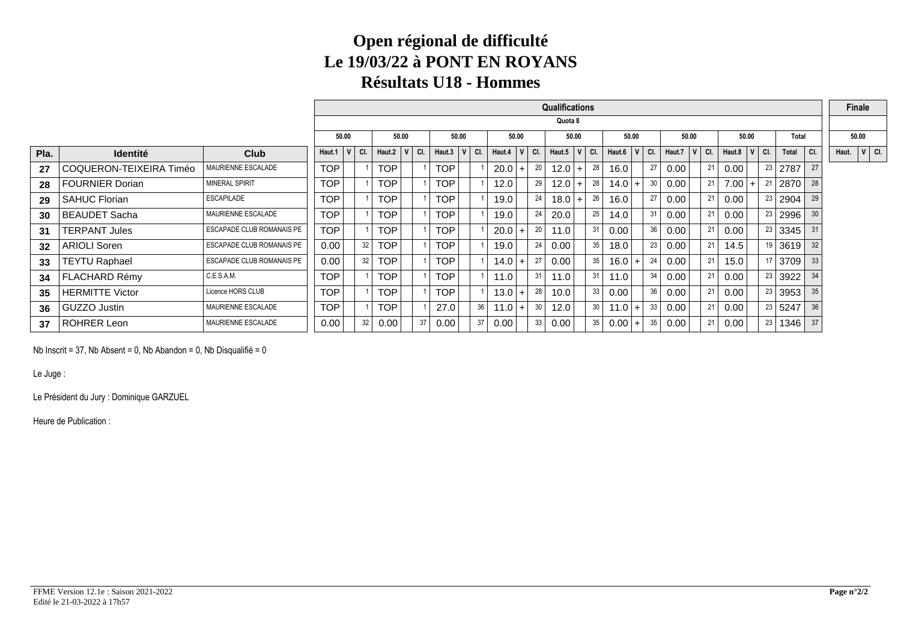### **Open régional de difficulté Le 19/03/22 à PONT EN ROYANSRésultats U18 - Hommes**

|      |                         |                           |            |           |    |                  |    |            |              |     |                  |       |    | <b>Qualifications</b> |    |                  |                |     |                              |     |          |       |                  |    |              |     |       | Finale    |  |
|------|-------------------------|---------------------------|------------|-----------|----|------------------|----|------------|--------------|-----|------------------|-------|----|-----------------------|----|------------------|----------------|-----|------------------------------|-----|----------|-------|------------------|----|--------------|-----|-------|-----------|--|
|      |                         |                           |            |           |    |                  |    |            |              |     |                  |       |    | Quota 8               |    |                  |                |     |                              |     |          |       |                  |    |              |     |       |           |  |
|      |                         |                           | 50.00      |           |    | 50.00            |    | 50.00      |              |     |                  | 50.00 |    | 50.00                 |    | 50.00            |                |     | 50.00                        |     |          | 50.00 |                  |    | <b>Total</b> |     |       | 50.00     |  |
| Pla. | <b>Identité</b>         | Club                      | Haut.1     | $ V $ CI. |    | Haut.2 $ V $ Cl. |    | Haut.3     | $\mathsf{V}$ | CI. | Haut.4 $ V $ Cl. |       |    | Haut.5 $ V $ Cl.      |    | Haut.6 $ V $ Cl. |                |     | Haut.7 $\vert$ V $\vert$ Cl. |     |          |       | Haut.8 $ V $ Cl. |    | <b>Total</b> | CI. | Haut. | $ V $ CI. |  |
| 27   | COQUERON-TEIXEIRA Timéo | MAURIENNE ESCALADE        | <b>TOP</b> |           |    | <b>TOP</b>       |    | TOP.       |              |     | 20.0             | $+$   | 20 | $12.0$ +              | 28 | 16.0             |                | 27  | 0.00                         | -21 | 0.00     |       | 23               |    | 2787         | 27  |       |           |  |
| 28   | <b>FOURNIER Dorian</b>  | MINERAL SPIRIT            | <b>TOP</b> |           |    | <b>TOP</b>       |    | TOP        |              |     | 12.0             |       | 29 | $12.0$ +              | 28 | $14.0 +$         |                | 30  | 0.00                         | 21  | $7.00 +$ |       |                  |    | 2870         | 28  |       |           |  |
| 29   | <b>SAHUC Florian</b>    | ESCAPILADE                | <b>TOP</b> |           |    | <b>TOP</b>       |    | TOP.       |              |     | 19.0             |       | 24 | $18.0$ +              | 26 | 16.0             |                | -27 | 0.00                         | -21 | 0.00     |       | 23               |    | 2904         | 29  |       |           |  |
| 30   | <b>BEAUDET Sacha</b>    | MAURIENNE ESCALADE        | <b>TOP</b> |           |    | <b>TOP</b>       |    | TOP        |              |     | 19.0             |       | 24 | 20.0                  | 25 | 14.0             |                | 31  | 0.00                         | 21  | 0.00     |       |                  |    | 23   2996    | 30  |       |           |  |
| 31   | <b>TERPANT Jules</b>    | ESCAPADE CLUB ROMANAIS PE | <b>TOP</b> |           |    | <b>TOP</b>       |    | TOP        |              |     | 20.0             | $+$   | 20 | 11.0                  | 31 | 0.00             |                | 36  | 0.00                         | -21 | 0.00     |       |                  |    | 23 3345      | 31  |       |           |  |
| 32   | <b>ARIOLI Soren</b>     | ESCAPADE CLUB ROMANAIS PE | 0.00       |           | 32 | <b>TOP</b>       |    | TOP        |              |     | 19.0             |       | 24 | 0.00 <sub>1</sub>     | 35 | 18.0             |                | 23  | 0.00                         | 21  | 14.5     |       |                  |    | $19$ 3619    | 32  |       |           |  |
| 33   | <b>TEYTU Raphael</b>    | ESCAPADE CLUB ROMANAIS PE | 0.00       |           | 32 | TOP              |    | TOP.       |              |     | $14.0 +$         |       | 27 | 0.00                  | 35 | $16.0 +$         |                | 24  | 0.00                         | 21  | 15.0     |       |                  |    | 3709         | 33  |       |           |  |
| 34   | FLACHARD Rémy           | C.E.S.A.M.                | <b>TOP</b> |           |    | TOP              |    | TOP        |              |     | 11.0             |       | 31 | 11.0                  | 31 | 11.0             |                | 34  | 0.00                         | 21  | 0.00     |       | 23               |    | 3922         | 34  |       |           |  |
| 35   | <b>HERMITTE Victor</b>  | Licence HORS CLUB         | <b>TOP</b> |           |    | TOP              |    | <b>TOP</b> |              |     | $13.0 +$         |       | 28 | 10.0                  | 33 | 0.00             |                | 36  | 0.00                         | 21  | 0.00     |       |                  |    | 23 3953      | 35  |       |           |  |
| 36   | GUZZO Justin            | MAURIENNE ESCALADE        | <b>TOP</b> |           |    | TOP              |    | 27.0       |              | 36  | $11.0 +$         |       | 30 | 12.0                  | 30 | 11.0             | $\overline{ }$ | 33  | 0.00                         | 21  | 0.00     |       |                  |    | 23   5247    | 36  |       |           |  |
| 37   | <b>ROHRER Leon</b>      | MAURIENNE ESCALADE        | 0.00       |           | 32 | 0.00             | 37 | 0.00       |              | 37  | 0.00             |       | 33 | 0.00                  | 35 | $0.00$   +       |                | 35  | 0.00                         | 21  | 0.00     |       |                  | 23 | 1346         |     |       |           |  |

Nb Inscrit = 37, Nb Absent = 0, Nb Abandon = 0, Nb Disqualifié = 0

Le Juge :

Le Président du Jury : Dominique GARZUEL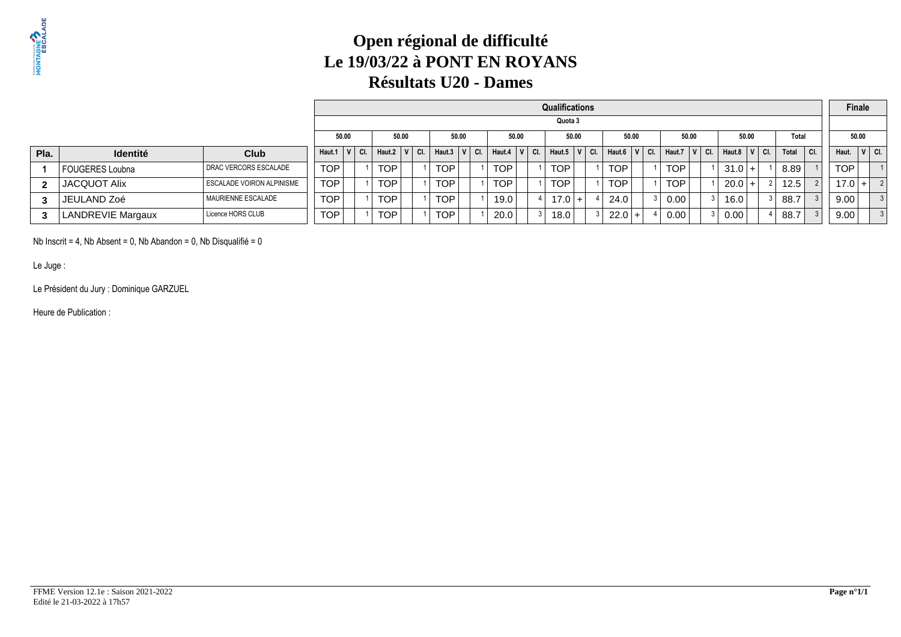### **Open régional de difficulté Le 19/03/22 à PONT EN ROYANSRésultats U20 - Dames**

|              |                     |                           | Qualifications<br>Quota 3<br>50.00<br>50.00<br>50.00<br>50.00<br>50.00<br>50.00<br>50.00<br>50.00<br>Total<br>CI.<br>$Haut.7$ $V$ Cl.<br>$ V $ Cl. $ $<br>CI.<br>Haut.8 $ V $ Cl.<br>CI.<br>Total<br>Haut.6<br>Haut.4<br>$\mathsf{C}$ CI.<br>CI.<br>CI.<br>Haut.5<br>Haut.1 $ V $<br>Haut.2<br>Haut.3<br><b>TOP</b><br><b>TOP</b><br><b>TOP</b><br><b>TOP</b><br>TOP.<br><b>TOP</b><br>TOP<br>8.89<br>$31.0 +$ |  |  |                  |  |  |            |  |  |            |  |      |     |  |          | Finale |      |  |          |  |      |            |         |
|--------------|---------------------|---------------------------|----------------------------------------------------------------------------------------------------------------------------------------------------------------------------------------------------------------------------------------------------------------------------------------------------------------------------------------------------------------------------------------------------------------|--|--|------------------|--|--|------------|--|--|------------|--|------|-----|--|----------|--------|------|--|----------|--|------|------------|---------|
|              |                     |                           |                                                                                                                                                                                                                                                                                                                                                                                                                |  |  |                  |  |  |            |  |  |            |  |      |     |  |          |        |      |  |          |  |      |            |         |
|              |                     |                           |                                                                                                                                                                                                                                                                                                                                                                                                                |  |  |                  |  |  |            |  |  |            |  |      |     |  |          |        |      |  |          |  |      |            | 50.00   |
| Pla.         | <b>Identité</b>     | <b>Club</b>               |                                                                                                                                                                                                                                                                                                                                                                                                                |  |  |                  |  |  |            |  |  |            |  |      |     |  |          |        |      |  |          |  |      | Haut.      | V   CI. |
|              | FOUGERES Loubna     | DRAC VERCORS ESCALADE     |                                                                                                                                                                                                                                                                                                                                                                                                                |  |  |                  |  |  |            |  |  |            |  |      |     |  |          |        |      |  |          |  |      | <b>TOP</b> |         |
| $\mathbf{2}$ | <b>JACQUOT Alix</b> | ESCALADE VOIRON ALPINISME | <b>TOP</b>                                                                                                                                                                                                                                                                                                                                                                                                     |  |  | <b>TOP</b>       |  |  | <b>TOP</b> |  |  | <b>TOP</b> |  | TOP  |     |  | TOP.     |        | TOP  |  | $20.0 +$ |  | 12.5 | $17.0 +$   |         |
|              | JEULAND Zoé         | MAURIENNE ESCALADE        | TOP                                                                                                                                                                                                                                                                                                                                                                                                            |  |  | TOP <sub>1</sub> |  |  | <b>TOP</b> |  |  | 19.0       |  | 17.0 | $+$ |  | 24.0     |        | 0.00 |  | 16.0     |  | 88.7 | 9.00       |         |
|              | LANDREVIE Margaux   | Licence HORS CLUB         | <b>TOP</b>                                                                                                                                                                                                                                                                                                                                                                                                     |  |  | <b>TOP</b>       |  |  | <b>TOP</b> |  |  | 20.0       |  | 18.0 |     |  | $22.0 +$ |        | 0.00 |  | 0.00     |  | 88.7 | 9.00       |         |

Nb Inscrit = 4, Nb Absent = 0, Nb Abandon = 0, Nb Disqualifié = 0

Le Juge :

Le Président du Jury : Dominique GARZUEL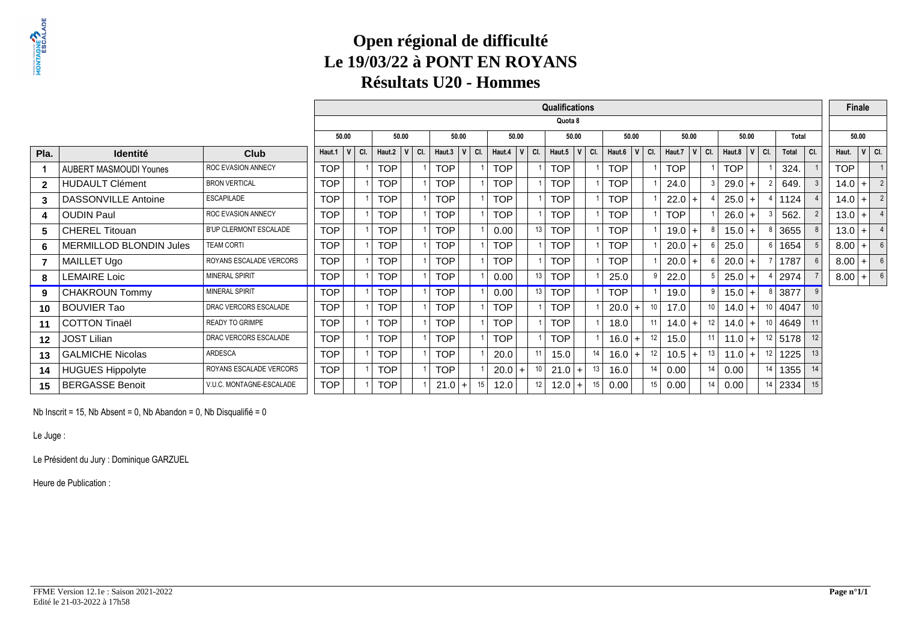### **Open régional de difficulté Le 19/03/22 à PONT EN ROYANSRésultats U20 - Hommes**

|                |                                |                               |            |          |            |                |     |               |     |            |                        | <b>Qualifications</b> |     |                  |           |    |            |           |         |            |           |    |           |     |            | Finale |                 |
|----------------|--------------------------------|-------------------------------|------------|----------|------------|----------------|-----|---------------|-----|------------|------------------------|-----------------------|-----|------------------|-----------|----|------------|-----------|---------|------------|-----------|----|-----------|-----|------------|--------|-----------------|
|                |                                |                               |            |          |            |                |     |               |     |            |                        | Quota 8               |     |                  |           |    |            |           |         |            |           |    |           |     |            |        |                 |
|                |                                |                               | 50.00      |          |            | 50.00          |     | 50.00         |     |            | 50.00                  | 50.00                 |     |                  | 50.00     |    |            | 50.00     |         |            | 50.00     |    | Total     |     |            | 50.00  |                 |
| Pla.           | <b>Identité</b>                | Club                          | Haut.1     | V<br>CI. | Haut.2     | V <sub>1</sub> | CI. | Haut.3<br>v l | CI. | Haut.4     | V<br>CI.               | V<br>Haut.5           | CI. | Haut.6 $ V $ Cl. |           |    | Haut. $7$  |           | $V$ CI. | Haut.8     | $V$ CI.   |    | Total     | CI. | Haut.      |        | $V$ CI.         |
|                | <b>AUBERT MASMOUDI Younes</b>  | <b>ROC EVASION ANNECY</b>     | <b>TOP</b> |          | <b>TOP</b> |                |     | <b>TOP</b>    |     | <b>TOP</b> |                        | <b>TOP</b>            |     | <b>TOP</b>       |           |    | <b>TOP</b> |           |         | <b>TOP</b> |           |    | 324.      |     | <b>TOP</b> |        |                 |
| $\overline{2}$ | <b>HUDAULT Clément</b>         | <b>BRON VERTICAL</b>          | <b>TOP</b> |          | <b>TOP</b> |                |     | <b>TOP</b>    |     | <b>TOP</b> |                        | <b>TOP</b>            |     | <b>TOP</b>       |           |    | 24.0       |           |         | 29.0       |           |    | 649.      |     | $14.0$ +   |        | $\overline{2}$  |
| 3              | <b>DASSONVILLE Antoine</b>     | <b>ESCAPILADE</b>             | <b>TOP</b> |          | <b>TOP</b> |                |     | <b>TOP</b>    |     | <b>TOP</b> |                        | <b>TOP</b>            |     | <b>TOP</b>       |           |    | $22.0 +$   |           |         | 25.0       |           |    | 1124      |     | $14.0 +$   |        | $\overline{2}$  |
| 4              | <b>OUDIN Paul</b>              | <b>ROC EVASION ANNECY</b>     | <b>TOP</b> |          | <b>TOP</b> |                |     | <b>TOP</b>    |     | <b>TOP</b> |                        | <b>TOP</b>            |     | <b>TOP</b>       |           |    | <b>TOP</b> |           |         | 26.0       |           |    | 562.      |     | $13.0$ +   |        |                 |
| 5              | <b>CHEREL Titouan</b>          | <b>B'UP CLERMONT ESCALADE</b> | <b>TOP</b> |          | <b>TOP</b> |                |     | <b>TOP</b>    |     | 0.00       | 13                     | <b>TOP</b>            |     | <b>TOP</b>       |           |    | 19.0       | $+$       |         | 15.0       |           |    | 3655      |     | $13.0$ +   |        |                 |
| 6              | <b>MERMILLOD BLONDIN Jules</b> | <b>TEAM CORTI</b>             | <b>TOP</b> |          | <b>TOP</b> |                |     | <b>TOP</b>    |     | <b>TOP</b> |                        | <b>TOP</b>            |     | <b>TOP</b>       |           |    | 20.0       | $\ddot{}$ |         | 25.0       |           |    | 1654      |     | 8.00       | $+1$   | 6               |
|                | MAILLET Ugo                    | ROYANS ESCALADE VERCORS       | <b>TOP</b> |          | <b>TOP</b> |                |     | <b>TOP</b>    |     | <b>TOP</b> |                        | <b>TOP</b>            |     | <b>TOP</b>       |           |    | 20.0       | $\ddot{}$ |         | 20.0       |           |    | 1787      |     | $8.00$ +   |        | $6\overline{6}$ |
| 8              | <b>LEMAIRE Loic</b>            | MINERAL SPIRIT                | <b>TOP</b> |          | <b>TOP</b> |                |     | <b>TOP</b>    |     | 0.00       | 13                     | <b>TOP</b>            |     | 25.0             |           |    | 22.0       |           |         | 25.0       |           |    | 2974      |     | $8.00$ +   |        | $6\overline{6}$ |
| 9              | <b>CHAKROUN Tommy</b>          | <b>MINERAL SPIRIT</b>         | <b>TOP</b> |          | <b>TOP</b> |                |     | <b>TOP</b>    |     | 0.00       | 13                     | <b>TOP</b>            |     | <b>TOP</b>       |           |    | 19.0       |           | 9       | 15.0       | $\ddot{}$ | 8  | 3877      | - 9 |            |        |                 |
| 10             | <b>BOUVIER Tao</b>             | DRAC VERCORS ESCALADE         | <b>TOP</b> |          | <b>TOP</b> |                |     | <b>TOP</b>    |     | <b>TOP</b> |                        | TOP                   |     | 20.0             | $\ddot{}$ | 10 | 17.0       |           | 10      | 14.0       | $+$       | 10 | 4047      |     |            |        |                 |
| 11             | <b>COTTON Tinaël</b>           | <b>READY TO GRIMPE</b>        | <b>TOP</b> |          | <b>TOP</b> |                |     | <b>TOP</b>    |     | <b>TOP</b> |                        | <b>TOP</b>            |     | 18.0             |           | 11 | $14.0 +$   |           | 12      | 14.0       | $+$       | 10 | 4649      |     |            |        |                 |
| $12 \,$        | <b>JOST Lilian</b>             | DRAC VERCORS ESCALADE         | <b>TOP</b> |          | <b>TOP</b> |                |     | <b>TOP</b>    |     | <b>TOP</b> |                        | <b>TOP</b>            |     | 16.0             | $\ddot{}$ | 12 | 15.0       |           | 11      | 11.0       | $+$       | 12 | 5178      | 12  |            |        |                 |
| 13             | <b>GALMICHE Nicolas</b>        | <b>ARDESCA</b>                | <b>TOP</b> |          | <b>TOP</b> |                |     | <b>TOP</b>    |     | 20.0       | 11                     | 15.0                  | 14  | 16.0             | $+$       | 12 | $10.5$ +   |           | 13      | 11.0       | $+$       | 12 | 1225      | 13  |            |        |                 |
| 14             | <b>HUGUES Hippolyte</b>        | ROYANS ESCALADE VERCORS       | <b>TOP</b> |          | <b>TOP</b> |                |     | <b>TOP</b>    |     | 20.0       | 10 <sup>°</sup><br>$+$ | $21.0$ +              | 13  | 16.0             |           | 14 | 0.00       |           | 14      | 0.00       |           |    | $14$ 1355 | 14  |            |        |                 |
| 15             | <b>BERGASSE Benoit</b>         | V.U.C. MONTAGNE-ESCALADE      | <b>TOP</b> |          | <b>TOP</b> |                |     | 21.0<br>$+$   | 15  | 12.0       | 12                     | 12.0<br>$+$           | 15  | 0.00             |           | 15 | 0.00       |           | 14      | 0.00       |           |    | $14$ 2334 | 15  |            |        |                 |

Nb Inscrit = 15, Nb Absent = 0, Nb Abandon = 0, Nb Disqualifié = 0

Le Juge :

Le Président du Jury : Dominique GARZUEL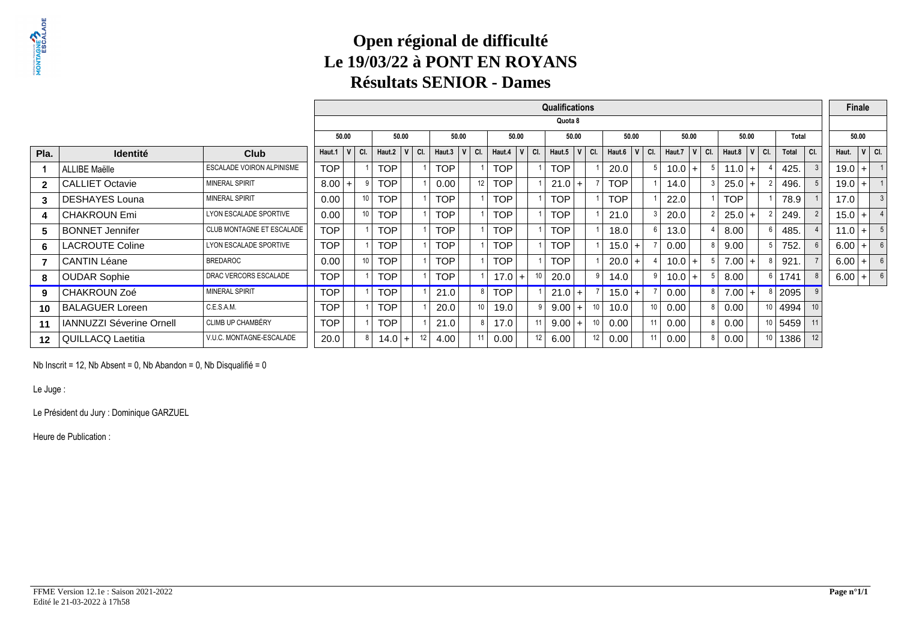# **Open régional de difficulté Le 19/03/22 à PONT EN ROYANSRésultats SENIOR - Dames**

|              |                                 |                                  |            |       |         |            |       |         |            |         |    |               |           | <b>Qualifications</b> |           |     |              |       |     |        |       |         |                  |                |                 |       |     |          | <b>Finale</b> |           |
|--------------|---------------------------------|----------------------------------|------------|-------|---------|------------|-------|---------|------------|---------|----|---------------|-----------|-----------------------|-----------|-----|--------------|-------|-----|--------|-------|---------|------------------|----------------|-----------------|-------|-----|----------|---------------|-----------|
|              |                                 |                                  |            |       |         |            |       |         |            |         |    |               |           | Quota 8               |           |     |              |       |     |        |       |         |                  |                |                 |       |     |          |               |           |
|              |                                 |                                  |            | 50.00 |         |            | 50.00 |         | 50.00      |         |    | 50.00         |           |                       | 50.00     |     |              | 50.00 |     |        | 50.00 |         | 50.00            |                |                 | Total |     |          | 50.00         |           |
| Pla.         | <b>Identité</b>                 | <b>Club</b>                      | Haut.1     |       | V   CI. | Haut. $2$  |       | $V$ CI. | Haut.3     | $V$ CI. |    | Haut.4        | $ V $ CI. | Haut.5                | $ V $ CI. |     | Haut.6 $ V $ |       | CI. | Haut.7 |       | $V$ CI. | Haut.8 $ V $ Cl. |                |                 | Total | CI. | Haut.    |               | $ v $ CI. |
|              | ALLIBE Maëlle                   | ESCALADE VOIRON ALPINISME        | <b>TOP</b> |       |         | <b>TOP</b> |       |         | <b>TOP</b> |         |    | <b>TOP</b>    |           | <b>TOP</b>            |           |     | 20.0         |       |     | 10.0   | $+$   |         | $11.0 +$         |                |                 | 425.  |     | $19.0 +$ |               |           |
| $\mathbf{2}$ | <b>CALLIET Octavie</b>          | <b>MINERAL SPIRIT</b>            | 8.00       |       |         | TOP        |       |         | 0.00       |         | 12 | <b>TOP</b>    |           | 21.0                  | $+$       |     | TOP.         |       |     | 14.0   |       |         | $25.0 +$         |                |                 | 496.  |     | $19.0 +$ |               |           |
| 3            | <b>DESHAYES Louna</b>           | MINERAL SPIRIT                   | 0.00       |       | 10 I    | <b>TOP</b> |       |         | <b>TOP</b> |         |    | <b>TOP</b>    |           | <b>TOP</b>            |           |     | <b>TOP</b>   |       |     | 22.0   |       |         | <b>TOP</b>       |                |                 | 78.9  |     | 17.0     |               |           |
| 4            | <b>CHAKROUN Emi</b>             | LYON ESCALADE SPORTIVE           | 0.00       |       | 10 I    | <b>TOP</b> |       |         | <b>TOP</b> |         |    | <b>TOP</b>    |           | <b>TOP</b>            |           |     | 21.0         |       |     | 20.0   |       |         | $25.0+$          |                |                 | 249.  |     | $15.0$ + |               |           |
| 5            | <b>BONNET Jennifer</b>          | <b>CLUB MONTAGNE ET ESCALADE</b> | <b>TOP</b> |       |         | <b>TOP</b> |       |         | <b>TOP</b> |         |    | <b>TOP</b>    |           | <b>TOP</b>            |           |     | 18.0         |       |     | 13.0   |       |         | 8.00             |                |                 | 485.  |     | $11.0$ + |               |           |
| 6            | <b>LACROUTE Coline</b>          | LYON ESCALADE SPORTIVE           | <b>TOP</b> |       |         | <b>TOP</b> |       |         | <b>TOP</b> |         |    | <b>TOP</b>    |           | <b>TOP</b>            |           |     | $15.0$ +     |       |     | 0.00   |       |         | 9.00             |                |                 | 752.  |     | $6.00$ + |               |           |
|              | <b>CANTIN Léane</b>             | <b>BREDAROC</b>                  | 0.00       |       | 10 I    | <b>TOP</b> |       |         | <b>TOP</b> |         |    | <b>TOP</b>    |           | <b>TOP</b>            |           |     | 20.0         | $+$   |     | 10.0   | $+$   |         | 7.00             | $\overline{+}$ |                 | 921.  |     | 6.00     | $+$           |           |
| 8            | <b>OUDAR Sophie</b>             | DRAC VERCORS ESCALADE            | TOP        |       |         | <b>TOP</b> |       |         | <b>TOP</b> |         |    | 17.0<br>$\pm$ |           | 20.0                  |           | 9   | 14.0         |       |     | 10.0   | $+$   |         | 8.00             |                |                 | 1741  |     | $6.00$ + |               |           |
| 9            | <b>CHAKROUN Zoé</b>             | <b>MINERAL SPIRIT</b>            | TOP.       |       |         | <b>TOP</b> |       |         | 21.0       |         |    | <b>TOP</b>    |           | 21.0                  | $+$       |     | $15.0$ +     |       |     | 0.00   |       | 8       | $7.00 +$         |                | 8               | 2095  |     |          |               |           |
| 10           | <b>BALAGUER Loreen</b>          | C.E.S.A.M.                       | TOP        |       |         | <b>TOP</b> |       |         | 20.0       |         | 10 | 19.0          | 9         | 9.00                  | $+$       | 10  | 10.0         |       | 10  | 0.00   |       | 8       | 0.00             |                | 10 <sup>1</sup> | 4994  |     |          |               |           |
| 11           | <b>IANNUZZI Séverine Ornell</b> | <b>CLIMB UP CHAMBÉRY</b>         | <b>TOP</b> |       |         | <b>TOP</b> |       |         | 21.0       |         |    | 17.0          |           | 9.00                  | $+$       | 10  | 0.00         |       | 11  | 0.00   |       |         | 0.00             |                | 10              | 5459  |     |          |               |           |
| $12 \,$      | QUILLACQ Laetitia               | V.U.C. MONTAGNE-ESCALADE         | 20.0       |       | 8       | 14.0       |       |         | 4.00       |         | 11 | 0.00          | 12        | 6.00                  |           | 12. | 0.00         |       | 11  | 0.00   |       |         | 0.00             |                | 10              | 1386  |     |          |               |           |

Nb Inscrit = 12, Nb Absent = 0, Nb Abandon = 0, Nb Disqualifié = 0

Le Juge :

Le Président du Jury : Dominique GARZUEL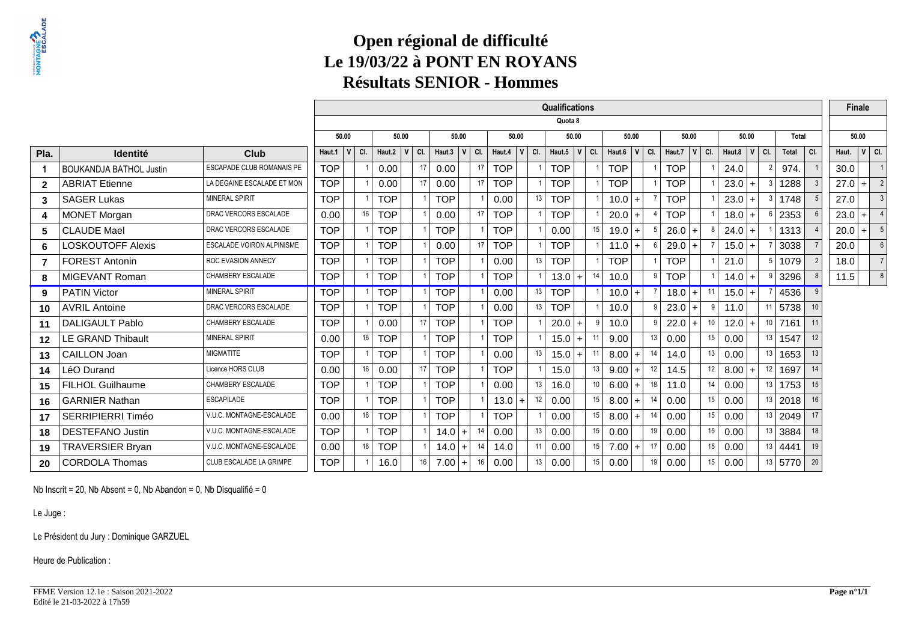# **Open régional de difficulté Le 19/03/22 à PONT EN ROYANSRésultats SENIOR - Hommes**

|                |                                |                                  |            |              |                 |            |                           |     |                                |     |                   |                 | <b>Qualifications</b> |           |                  |       |    |                    |       |     |                  |                |    |           |       |       | <b>Finale</b> |                  |
|----------------|--------------------------------|----------------------------------|------------|--------------|-----------------|------------|---------------------------|-----|--------------------------------|-----|-------------------|-----------------|-----------------------|-----------|------------------|-------|----|--------------------|-------|-----|------------------|----------------|----|-----------|-------|-------|---------------|------------------|
|                |                                |                                  |            |              |                 |            |                           |     |                                |     |                   |                 | Quota 8               |           |                  |       |    |                    |       |     |                  |                |    |           |       |       |               |                  |
|                |                                |                                  | 50.00      |              |                 | 50.00      |                           |     | 50.00                          |     | 50.00             |                 | 50.00                 |           |                  | 50.00 |    |                    | 50.00 |     |                  | 50.00          |    | Total     |       |       | 50.00         |                  |
| Pla.           | <b>Identité</b>                | Club                             | Haut.1     | $\mathbf{V}$ | CI.             | Haut.2     | $\overline{(\mathbf{V})}$ | CI. | $ \hat{\mathbf{V}} $<br>Haut.3 | CI. | Haut.4 $ V $      | CI.             | Haut.5 $ V $ Cl.      |           | Haut.6 $ V $ Cl. |       |    | Haut.7 $\ V\ $ Cl. |       |     | Haut.8 $ V $ Cl. |                |    | Total     | l cı. | Haut. |               | $ v $ ci.        |
|                | <b>BOUKANDJA BATHOL Justin</b> | ESCAPADE CLUB ROMANAIS PE        | <b>TOP</b> |              |                 | 0.00       |                           | 17  | 0.00                           | 17  | <b>TOP</b>        |                 | <b>TOP</b>            |           | <b>TOP</b>       |       |    | <b>TOP</b>         |       |     | 24.0             |                |    | 974.      |       | 30.0  |               | $\overline{1}$   |
| $\overline{2}$ | <b>ABRIAT Etienne</b>          | LA DEGAINE ESCALADE ET MON       | <b>TOP</b> |              |                 | 0.00       |                           | 17  | 0.00                           | 17  | <b>TOP</b>        |                 | <b>TOP</b>            |           | <b>TOP</b>       |       |    | <b>TOP</b>         |       |     | 23.0             | $+$            |    | 1288      |       | 27.0  | $+$           | $\overline{2}$   |
| 3              | <b>SAGER Lukas</b>             | <b>MINERAL SPIRIT</b>            | <b>TOP</b> |              |                 | <b>TOP</b> |                           |     | <b>TOP</b>                     |     | 0.00              | 13              | <b>TOP</b>            |           | $10.0$ +         |       |    | <b>TOP</b>         |       |     | 23.0             | $+$            | 3  | 1748      |       | 27.0  |               | $\overline{3}$   |
| 4              | <b>MONET Morgan</b>            | DRAC VERCORS ESCALADE            | 0.00       |              | 16 <sup>1</sup> | <b>TOP</b> |                           |     | 0.00                           | 17  | <b>TOP</b>        |                 | <b>TOP</b>            |           | $20.0 +$         |       |    | <b>TOP</b>         |       |     | 18.0             | $+$            | 6  | 2353      |       | 23.0  | $+$           | $\overline{4}$   |
| 5              | <b>CLAUDE Mael</b>             | DRAC VERCORS ESCALADE            | <b>TOP</b> |              |                 | <b>TOP</b> |                           |     | <b>TOP</b>                     |     | <b>TOP</b>        |                 | 0.00                  | 15        | $19.0 +$         |       | -5 | $26.0 +$           |       | - 8 | 24.0             | $\overline{+}$ |    | 1313      |       | 20.0  | $+$           | 5                |
| 6              | <b>LOSKOUTOFF Alexis</b>       | <b>ESCALADE VOIRON ALPINISME</b> | <b>TOP</b> |              |                 | <b>TOP</b> |                           |     | 0.00                           | 17  | <b>TOP</b>        |                 | <b>TOP</b>            |           | 11.0             | $+$   | 6  | $29.0 +$           |       |     | 15.0             | $\ddot{}$      |    | 3038      |       | 20.0  |               | $6 \overline{6}$ |
| $\overline{7}$ | <b>FOREST Antonin</b>          | ROC EVASION ANNECY               | <b>TOP</b> |              |                 | <b>TOP</b> |                           |     | <b>TOP</b>                     |     | 0.00              | 13              | <b>TOP</b>            |           | <b>TOP</b>       |       |    | <b>TOP</b>         |       |     | 21.0             |                | .5 | 1079      |       | 18.0  |               |                  |
| 8              | MIGEVANT Roman                 | CHAMBERY ESCALADE                | <b>TOP</b> |              |                 | <b>TOP</b> |                           |     | <b>TOP</b>                     |     | <b>TOP</b>        |                 | 13.0                  | 14<br>$+$ | 10.0             |       | 9  | <b>TOP</b>         |       |     | 14.0             | $\ddot{}$      | g  | 3296      |       | 11.5  |               | 8                |
| 9              | <b>PATIN Victor</b>            | MINERAL SPIRIT                   | <b>TOP</b> |              |                 | <b>TOP</b> |                           |     | <b>TOP</b>                     |     | 0.00              | 13 <sup>1</sup> | <b>TOP</b>            |           | $10.0 +$         |       |    | 18.0               | $+$   | 11  | 15.0             | $+$            |    | 4536      |       |       |               |                  |
| 10             | <b>AVRIL Antoine</b>           | DRAC VERCORS ESCALADE            | <b>TOP</b> |              |                 | <b>TOP</b> |                           |     | <b>TOP</b>                     |     | 0.00              | 13 <sup>1</sup> | <b>TOP</b>            |           | 10.0             |       | q  | 23.0               | $+$   |     | 11.0             |                | 11 | 5738      | 10    |       |               |                  |
| 11             | <b>DALIGAULT Pablo</b>         | CHAMBERY ESCALADE                | <b>TOP</b> |              |                 | 0.00       |                           | 17  | <b>TOP</b>                     |     | <b>TOP</b>        |                 | 20.0                  | $\ddot{}$ | 10.0             |       | q  | $22.0 +$           |       | 10  | 12.0             | $+$            | 10 | 7161      | 11    |       |               |                  |
| $12 \,$        | <b>LE GRAND Thibault</b>       | <b>MINERAL SPIRIT</b>            | 0.00       |              | 16              | <b>TOP</b> |                           |     | <b>TOP</b>                     |     | <b>TOP</b>        |                 | 15.0                  | $+$       | 9.00             |       | 13 | 0.00               |       | 15  | 0.00             |                |    | 13   1547 | 12    |       |               |                  |
| 13             | CAILLON Joan                   | <b>MIGMATITE</b>                 | <b>TOP</b> |              |                 | <b>TOP</b> |                           |     | <b>TOP</b>                     |     | 0.00              | 13              | 15.0                  | 11<br>$+$ | $8.00 +$         |       | 14 | 14.0               |       | 13  | 0.00             |                |    | 13   1653 | 13    |       |               |                  |
| 14             | LéO Durand                     | Licence HORS CLUB                | 0.00       |              | 16 <sup>1</sup> | 0.00       |                           | 17  | <b>TOP</b>                     |     | <b>TOP</b>        |                 | 15.0                  | 13        | $9.00 +$         |       | 12 | 14.5               |       | 12  | 8.00             |                |    | $12$ 1697 | 14    |       |               |                  |
| 15             | <b>FILHOL Guilhaume</b>        | CHAMBERY ESCALADE                | <b>TOP</b> |              |                 | <b>TOP</b> |                           |     | <b>TOP</b>                     |     | 0.00              | 13              | 16.0                  | 10        | 6.00             | $+$   | 18 | 11.0               |       | 14  | 0.00             |                | 13 | 1753      | 15    |       |               |                  |
| 16             | <b>GARNIER Nathan</b>          | <b>ESCAPILADE</b>                | <b>TOP</b> |              |                 | <b>TOP</b> |                           |     | <b>TOP</b>                     |     | 13.0<br>$\ddot{}$ | 12              | 0.00                  | 15        | 8.00             | $+$   | 14 | 0.00               |       | 15  | 0.00             |                | 13 | 2018      | 16    |       |               |                  |
| 17             | SERRIPIERRI Timéo              | V.U.C. MONTAGNE-ESCALADE         | 0.00       |              | 16              | <b>TOP</b> |                           |     | <b>TOP</b>                     |     | TOP               |                 | 0.00                  | 15        | 8.00             | $+$   | 14 | 0.00               |       | 15  | 0.00             |                | 13 | 2049      | 17    |       |               |                  |
| 18             | <b>DESTEFANO Justin</b>        | V.U.C. MONTAGNE-ESCALADE         | <b>TOP</b> |              |                 | <b>TOP</b> |                           |     | 14.0<br>$+$                    | 14  | 0.00              | 13              | 0.00                  | 15        | 0.00             |       | 19 | 0.00               |       | 15  | 0.00             |                |    | 13   3884 | 18    |       |               |                  |
| 19             | <b>TRAVERSIER Bryan</b>        | V.U.C. MONTAGNE-ESCALADE         | 0.00       |              | 16              | <b>TOP</b> |                           |     | 14.0<br>$+$                    | 14  | 14.0              | 11              | 0.00                  | 15        | 7.00             | $+$   | 17 | 0.00               |       | 15  | 0.00             |                | 13 | 4441      | 19    |       |               |                  |
| 20             | <b>CORDOLA Thomas</b>          | CLUB ESCALADE LA GRIMPE          | <b>TOP</b> |              |                 | 16.0       |                           | 16  | 7.00<br>$+$                    | 16  | 0.00              | 13              | 0.00                  | 15        | 0.00             |       | 19 | 0.00               |       | 15  | 0.00             |                | 13 | 5770      | 20    |       |               |                  |

Nb Inscrit = 20, Nb Absent = 0, Nb Abandon = 0, Nb Disqualifié = 0

Le Juge :

Le Président du Jury : Dominique GARZUEL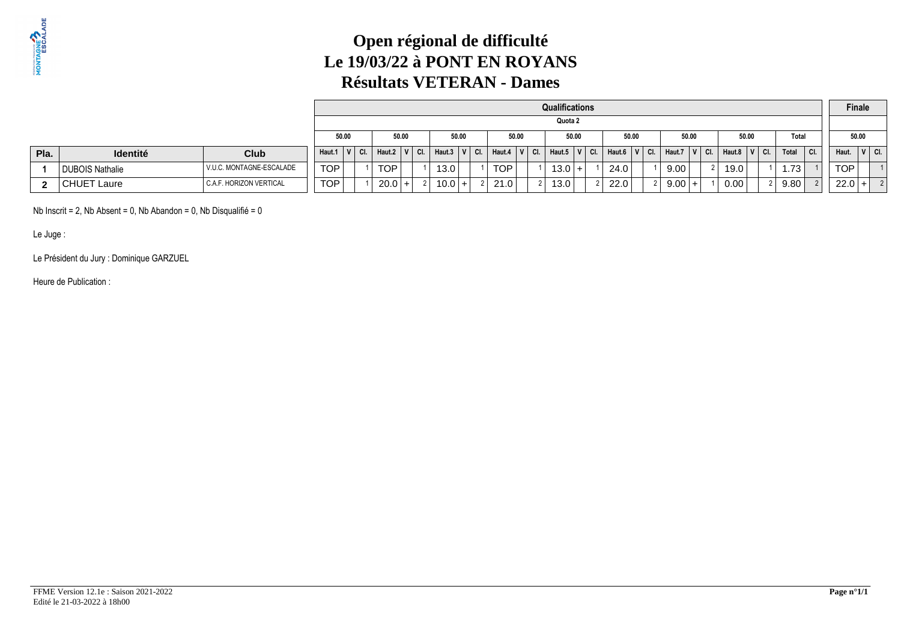

# **Open régional de difficulté Le 19/03/22 à PONT EN ROYANSRésultats VETERAN - Dames**

|      |                    |                          |            | Qualifications<br>Quota 2<br>50.00<br>50.00<br>50.00<br>50.00<br>50.00<br>50.00<br>50.00<br>Total<br>50.00<br>  CI.<br>Haut.6 $ V $ Cl.<br>Haut.7 $ V $ Cl. $ $<br>! Cl.∶<br>$V$ $C$ I.<br>$ V $ CI.<br>Total<br>CI.<br>$V$ $C$ .<br>Haut.8 $ V $<br>Haut.3<br>Haut.5<br>CI.<br>Haut.4<br>Haut.2<br>TOP <sub>L</sub> |      |  |  |      |  |      |  |  |          |  |      |  | Finale   |  |      |  |      |  |       |         |  |
|------|--------------------|--------------------------|------------|----------------------------------------------------------------------------------------------------------------------------------------------------------------------------------------------------------------------------------------------------------------------------------------------------------------------|------|--|--|------|--|------|--|--|----------|--|------|--|----------|--|------|--|------|--|-------|---------|--|
|      |                    |                          |            |                                                                                                                                                                                                                                                                                                                      |      |  |  |      |  |      |  |  |          |  |      |  |          |  |      |  |      |  |       |         |  |
|      |                    |                          |            |                                                                                                                                                                                                                                                                                                                      |      |  |  |      |  |      |  |  |          |  |      |  |          |  |      |  |      |  | 50.00 |         |  |
| Pla. | <b>Identité</b>    | <b>Club</b>              | Haut.1     |                                                                                                                                                                                                                                                                                                                      |      |  |  |      |  |      |  |  |          |  |      |  |          |  |      |  |      |  | Haut. | $V$ CI. |  |
|      | DUBOIS Nathalie    | V.U.C. MONTAGNE-ESCALADE | <b>TOP</b> |                                                                                                                                                                                                                                                                                                                      | TOP  |  |  | 13.0 |  |      |  |  | $13.0 +$ |  | 24.0 |  | 9.00     |  | 19.0 |  | 1.73 |  | TOP   |         |  |
|      | <b>CHUET Laure</b> | C.A.F. HORIZON VERTICAL  | <b>TOP</b> |                                                                                                                                                                                                                                                                                                                      | 20.0 |  |  | 10.0 |  | 21.0 |  |  | 13.0     |  | 22.0 |  | $9.00 +$ |  | 0.00 |  | 9.80 |  | 22.0  |         |  |

Nb Inscrit = 2, Nb Absent = 0, Nb Abandon = 0, Nb Disqualifié = 0

Le Juge :

Le Président du Jury : Dominique GARZUEL